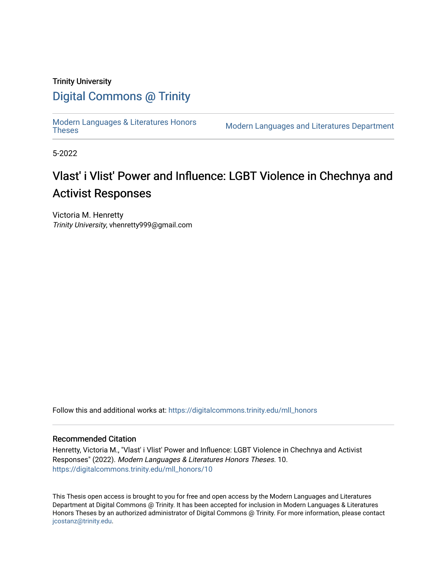## Trinity University

# [Digital Commons @ Trinity](https://digitalcommons.trinity.edu/)

[Modern Languages & Literatures Honors](https://digitalcommons.trinity.edu/mll_honors)

Modern Languages and Literatures Department

5-2022

# Vlast' i Vlist' Power and Influence: LGBT Violence in Chechnya and Activist Responses

Victoria M. Henretty Trinity University, vhenretty999@gmail.com

Follow this and additional works at: [https://digitalcommons.trinity.edu/mll\\_honors](https://digitalcommons.trinity.edu/mll_honors?utm_source=digitalcommons.trinity.edu%2Fmll_honors%2F10&utm_medium=PDF&utm_campaign=PDFCoverPages) 

#### Recommended Citation

Henretty, Victoria M., "Vlast' i Vlist' Power and Influence: LGBT Violence in Chechnya and Activist Responses" (2022). Modern Languages & Literatures Honors Theses. 10. [https://digitalcommons.trinity.edu/mll\\_honors/10](https://digitalcommons.trinity.edu/mll_honors/10?utm_source=digitalcommons.trinity.edu%2Fmll_honors%2F10&utm_medium=PDF&utm_campaign=PDFCoverPages)

This Thesis open access is brought to you for free and open access by the Modern Languages and Literatures Department at Digital Commons @ Trinity. It has been accepted for inclusion in Modern Languages & Literatures Honors Theses by an authorized administrator of Digital Commons @ Trinity. For more information, please contact [jcostanz@trinity.edu](mailto:jcostanz@trinity.edu).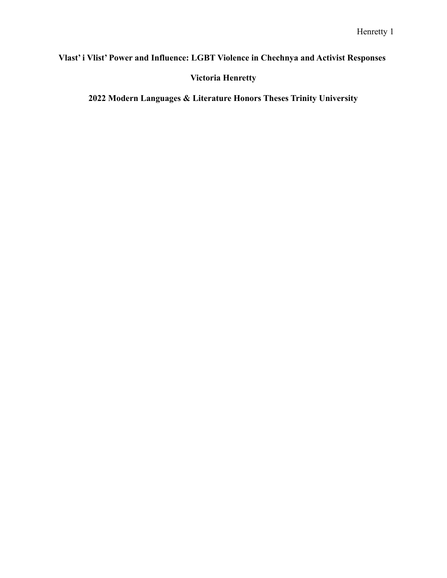# **Vlast' i Vlist' Power and Influence: LGBT Violence in Chechnya and Activist Responses**

**Victoria Henretty**

**2022 Modern Languages & Literature Honors Theses Trinity University**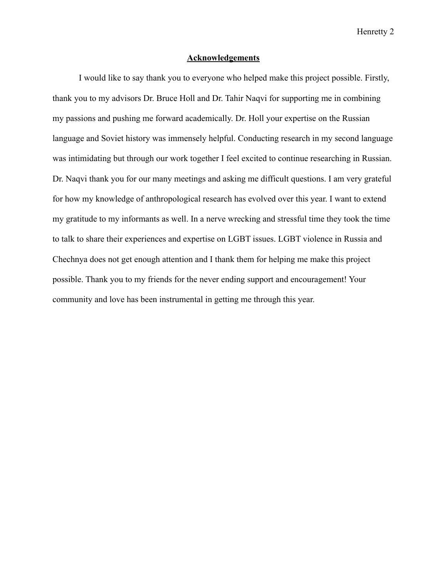### **Acknowledgements**

I would like to say thank you to everyone who helped make this project possible. Firstly, thank you to my advisors Dr. Bruce Holl and Dr. Tahir Naqvi for supporting me in combining my passions and pushing me forward academically. Dr. Holl your expertise on the Russian language and Soviet history was immensely helpful. Conducting research in my second language was intimidating but through our work together I feel excited to continue researching in Russian. Dr. Naqvi thank you for our many meetings and asking me difficult questions. I am very grateful for how my knowledge of anthropological research has evolved over this year. I want to extend my gratitude to my informants as well. In a nerve wrecking and stressful time they took the time to talk to share their experiences and expertise on LGBT issues. LGBT violence in Russia and Chechnya does not get enough attention and I thank them for helping me make this project possible. Thank you to my friends for the never ending support and encouragement! Your community and love has been instrumental in getting me through this year.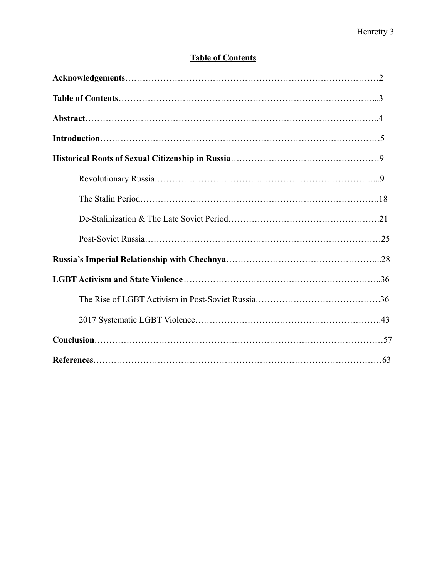# **Table of Contents**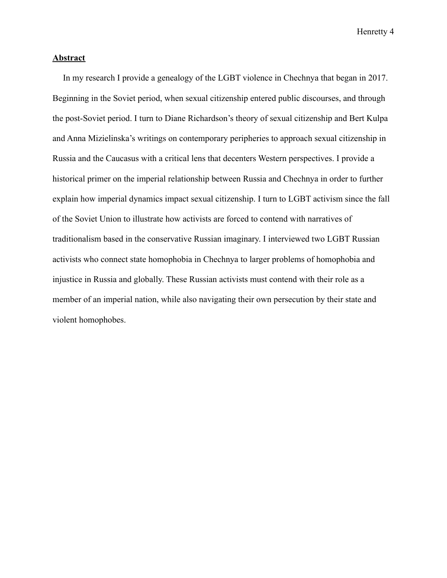## **Abstract**

In my research I provide a genealogy of the LGBT violence in Chechnya that began in 2017. Beginning in the Soviet period, when sexual citizenship entered public discourses, and through the post-Soviet period. I turn to Diane Richardson's theory of sexual citizenship and Bert Kulpa and Anna Mizielinska's writings on contemporary peripheries to approach sexual citizenship in Russia and the Caucasus with a critical lens that decenters Western perspectives. I provide a historical primer on the imperial relationship between Russia and Chechnya in order to further explain how imperial dynamics impact sexual citizenship. I turn to LGBT activism since the fall of the Soviet Union to illustrate how activists are forced to contend with narratives of traditionalism based in the conservative Russian imaginary. I interviewed two LGBT Russian activists who connect state homophobia in Chechnya to larger problems of homophobia and injustice in Russia and globally. These Russian activists must contend with their role as a member of an imperial nation, while also navigating their own persecution by their state and violent homophobes.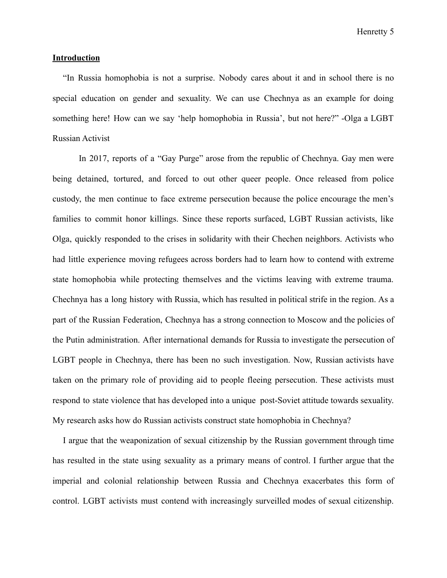#### **Introduction**

"In Russia homophobia is not a surprise. Nobody cares about it and in school there is no special education on gender and sexuality. We can use Chechnya as an example for doing something here! How can we say 'help homophobia in Russia', but not here?" -Olga a LGBT Russian Activist

In 2017, reports of a "Gay Purge" arose from the republic of Chechnya. Gay men were being detained, tortured, and forced to out other queer people. Once released from police custody, the men continue to face extreme persecution because the police encourage the men's families to commit honor killings. Since these reports surfaced, LGBT Russian activists, like Olga, quickly responded to the crises in solidarity with their Chechen neighbors. Activists who had little experience moving refugees across borders had to learn how to contend with extreme state homophobia while protecting themselves and the victims leaving with extreme trauma. Chechnya has a long history with Russia, which has resulted in political strife in the region. As a part of the Russian Federation, Chechnya has a strong connection to Moscow and the policies of the Putin administration. After international demands for Russia to investigate the persecution of LGBT people in Chechnya, there has been no such investigation. Now, Russian activists have taken on the primary role of providing aid to people fleeing persecution. These activists must respond to state violence that has developed into a unique post-Soviet attitude towards sexuality. My research asks how do Russian activists construct state homophobia in Chechnya?

I argue that the weaponization of sexual citizenship by the Russian government through time has resulted in the state using sexuality as a primary means of control. I further argue that the imperial and colonial relationship between Russia and Chechnya exacerbates this form of control. LGBT activists must contend with increasingly surveilled modes of sexual citizenship.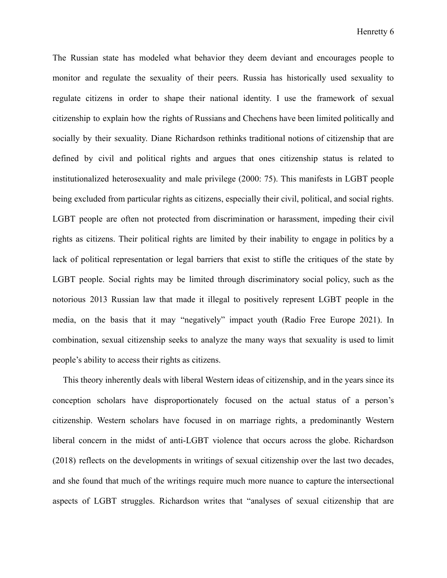The Russian state has modeled what behavior they deem deviant and encourages people to monitor and regulate the sexuality of their peers. Russia has historically used sexuality to regulate citizens in order to shape their national identity. I use the framework of sexual citizenship to explain how the rights of Russians and Chechens have been limited politically and socially by their sexuality. Diane Richardson rethinks traditional notions of citizenship that are defined by civil and political rights and argues that ones citizenship status is related to institutionalized heterosexuality and male privilege (2000: 75). This manifests in LGBT people being excluded from particular rights as citizens, especially their civil, political, and social rights. LGBT people are often not protected from discrimination or harassment, impeding their civil rights as citizens. Their political rights are limited by their inability to engage in politics by a lack of political representation or legal barriers that exist to stifle the critiques of the state by LGBT people. Social rights may be limited through discriminatory social policy, such as the notorious 2013 Russian law that made it illegal to positively represent LGBT people in the media, on the basis that it may "negatively" impact youth (Radio Free Europe 2021). In combination, sexual citizenship seeks to analyze the many ways that sexuality is used to limit people's ability to access their rights as citizens.

This theory inherently deals with liberal Western ideas of citizenship, and in the years since its conception scholars have disproportionately focused on the actual status of a person's citizenship. Western scholars have focused in on marriage rights, a predominantly Western liberal concern in the midst of anti-LGBT violence that occurs across the globe. Richardson (2018) reflects on the developments in writings of sexual citizenship over the last two decades, and she found that much of the writings require much more nuance to capture the intersectional aspects of LGBT struggles. Richardson writes that "analyses of sexual citizenship that are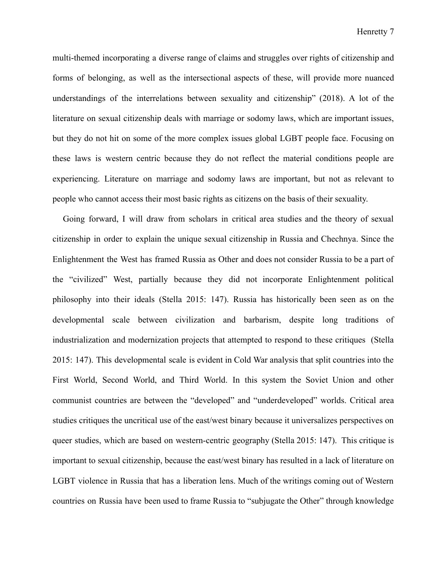multi-themed incorporating a diverse range of claims and struggles over rights of citizenship and forms of belonging, as well as the intersectional aspects of these, will provide more nuanced understandings of the interrelations between sexuality and citizenship" (2018). A lot of the literature on sexual citizenship deals with marriage or sodomy laws, which are important issues, but they do not hit on some of the more complex issues global LGBT people face. Focusing on these laws is western centric because they do not reflect the material conditions people are experiencing. Literature on marriage and sodomy laws are important, but not as relevant to people who cannot access their most basic rights as citizens on the basis of their sexuality.

Going forward, I will draw from scholars in critical area studies and the theory of sexual citizenship in order to explain the unique sexual citizenship in Russia and Chechnya. Since the Enlightenment the West has framed Russia as Other and does not consider Russia to be a part of the "civilized" West, partially because they did not incorporate Enlightenment political philosophy into their ideals (Stella 2015: 147). Russia has historically been seen as on the developmental scale between civilization and barbarism, despite long traditions of industrialization and modernization projects that attempted to respond to these critiques (Stella 2015: 147). This developmental scale is evident in Cold War analysis that split countries into the First World, Second World, and Third World. In this system the Soviet Union and other communist countries are between the "developed" and "underdeveloped" worlds. Critical area studies critiques the uncritical use of the east/west binary because it universalizes perspectives on queer studies, which are based on western-centric geography (Stella 2015: 147). This critique is important to sexual citizenship, because the east/west binary has resulted in a lack of literature on LGBT violence in Russia that has a liberation lens. Much of the writings coming out of Western countries on Russia have been used to frame Russia to "subjugate the Other" through knowledge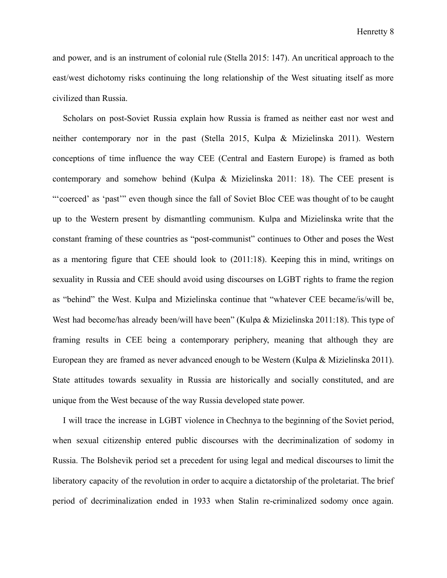and power, and is an instrument of colonial rule (Stella 2015: 147). An uncritical approach to the east/west dichotomy risks continuing the long relationship of the West situating itself as more civilized than Russia.

Scholars on post-Soviet Russia explain how Russia is framed as neither east nor west and neither contemporary nor in the past (Stella 2015, Kulpa & Mizielinska 2011). Western conceptions of time influence the way CEE (Central and Eastern Europe) is framed as both contemporary and somehow behind (Kulpa & Mizielinska 2011: 18). The CEE present is "'coerced' as 'past'" even though since the fall of Soviet Bloc CEE was thought of to be caught up to the Western present by dismantling communism. Kulpa and Mizielinska write that the constant framing of these countries as "post-communist" continues to Other and poses the West as a mentoring figure that CEE should look to (2011:18). Keeping this in mind, writings on sexuality in Russia and CEE should avoid using discourses on LGBT rights to frame the region as "behind" the West. Kulpa and Mizielinska continue that "whatever CEE became/is/will be, West had become/has already been/will have been" (Kulpa & Mizielinska 2011:18). This type of framing results in CEE being a contemporary periphery, meaning that although they are European they are framed as never advanced enough to be Western (Kulpa & Mizielinska 2011). State attitudes towards sexuality in Russia are historically and socially constituted, and are unique from the West because of the way Russia developed state power.

I will trace the increase in LGBT violence in Chechnya to the beginning of the Soviet period, when sexual citizenship entered public discourses with the decriminalization of sodomy in Russia. The Bolshevik period set a precedent for using legal and medical discourses to limit the liberatory capacity of the revolution in order to acquire a dictatorship of the proletariat. The brief period of decriminalization ended in 1933 when Stalin re-criminalized sodomy once again.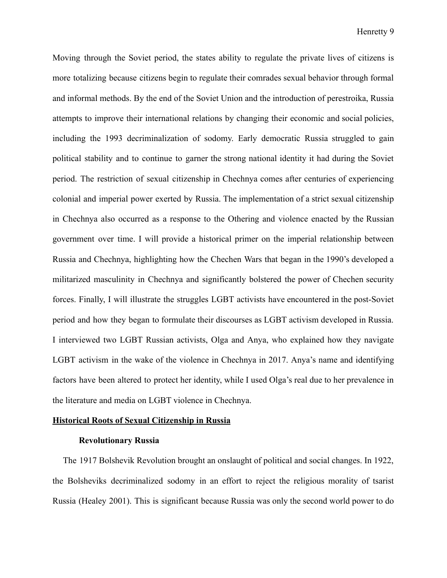Moving through the Soviet period, the states ability to regulate the private lives of citizens is more totalizing because citizens begin to regulate their comrades sexual behavior through formal and informal methods. By the end of the Soviet Union and the introduction of perestroika, Russia attempts to improve their international relations by changing their economic and social policies, including the 1993 decriminalization of sodomy. Early democratic Russia struggled to gain political stability and to continue to garner the strong national identity it had during the Soviet period. The restriction of sexual citizenship in Chechnya comes after centuries of experiencing colonial and imperial power exerted by Russia. The implementation of a strict sexual citizenship in Chechnya also occurred as a response to the Othering and violence enacted by the Russian government over time. I will provide a historical primer on the imperial relationship between Russia and Chechnya, highlighting how the Chechen Wars that began in the 1990's developed a militarized masculinity in Chechnya and significantly bolstered the power of Chechen security forces. Finally, I will illustrate the struggles LGBT activists have encountered in the post-Soviet period and how they began to formulate their discourses as LGBT activism developed in Russia. I interviewed two LGBT Russian activists, Olga and Anya, who explained how they navigate LGBT activism in the wake of the violence in Chechnya in 2017. Anya's name and identifying factors have been altered to protect her identity, while I used Olga's real due to her prevalence in the literature and media on LGBT violence in Chechnya.

#### **Historical Roots of Sexual Citizenship in Russia**

#### **Revolutionary Russia**

The 1917 Bolshevik Revolution brought an onslaught of political and social changes. In 1922, the Bolsheviks decriminalized sodomy in an effort to reject the religious morality of tsarist Russia (Healey 2001). This is significant because Russia was only the second world power to do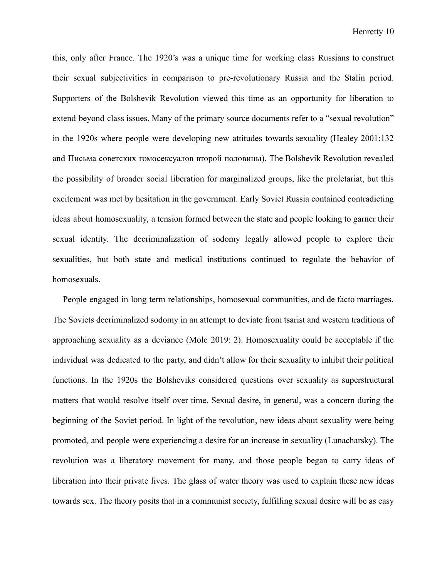this, only after France. The 1920's was a unique time for working class Russians to construct their sexual subjectivities in comparison to pre-revolutionary Russia and the Stalin period. Supporters of the Bolshevik Revolution viewed this time as an opportunity for liberation to extend beyond class issues. Many of the primary source documents refer to a "sexual revolution" in the 1920s where people were developing new attitudes towards sexuality (Healey 2001:132 and Письма советских гомосексуалов второй половины). The Bolshevik Revolution revealed the possibility of broader social liberation for marginalized groups, like the proletariat, but this excitement was met by hesitation in the government. Early Soviet Russia contained contradicting ideas about homosexuality, a tension formed between the state and people looking to garner their sexual identity. The decriminalization of sodomy legally allowed people to explore their sexualities, but both state and medical institutions continued to regulate the behavior of homosexuals.

People engaged in long term relationships, homosexual communities, and de facto marriages. The Soviets decriminalized sodomy in an attempt to deviate from tsarist and western traditions of approaching sexuality as a deviance (Mole 2019: 2). Homosexuality could be acceptable if the individual was dedicated to the party, and didn't allow for their sexuality to inhibit their political functions. In the 1920s the Bolsheviks considered questions over sexuality as superstructural matters that would resolve itself over time. Sexual desire, in general, was a concern during the beginning of the Soviet period. In light of the revolution, new ideas about sexuality were being promoted, and people were experiencing a desire for an increase in sexuality (Lunacharsky). The revolution was a liberatory movement for many, and those people began to carry ideas of liberation into their private lives. The glass of water theory was used to explain these new ideas towards sex. The theory posits that in a communist society, fulfilling sexual desire will be as easy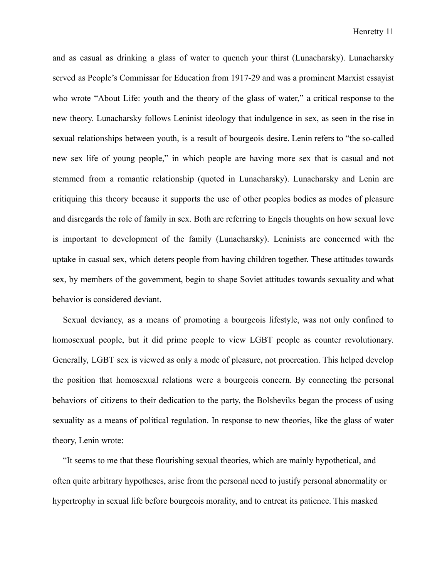and as casual as drinking a glass of water to quench your thirst (Lunacharsky). Lunacharsky served as People's Commissar for Education from 1917-29 and was a prominent Marxist essayist who wrote "About Life: youth and the theory of the glass of water," a critical response to the new theory. Lunacharsky follows Leninist ideology that indulgence in sex, as seen in the rise in sexual relationships between youth, is a result of bourgeois desire. Lenin refers to "the so-called new sex life of young people," in which people are having more sex that is casual and not stemmed from a romantic relationship (quoted in Lunacharsky). Lunacharsky and Lenin are critiquing this theory because it supports the use of other peoples bodies as modes of pleasure and disregards the role of family in sex. Both are referring to Engels thoughts on how sexual love is important to development of the family (Lunacharsky). Leninists are concerned with the uptake in casual sex, which deters people from having children together. These attitudes towards sex, by members of the government, begin to shape Soviet attitudes towards sexuality and what behavior is considered deviant.

Sexual deviancy, as a means of promoting a bourgeois lifestyle, was not only confined to homosexual people, but it did prime people to view LGBT people as counter revolutionary. Generally, LGBT sex is viewed as only a mode of pleasure, not procreation. This helped develop the position that homosexual relations were a bourgeois concern. By connecting the personal behaviors of citizens to their dedication to the party, the Bolsheviks began the process of using sexuality as a means of political regulation. In response to new theories, like the glass of water theory, Lenin wrote:

"It seems to me that these flourishing sexual theories, which are mainly hypothetical, and often quite arbitrary hypotheses, arise from the personal need to justify personal abnormality or hypertrophy in sexual life before bourgeois morality, and to entreat its patience. This masked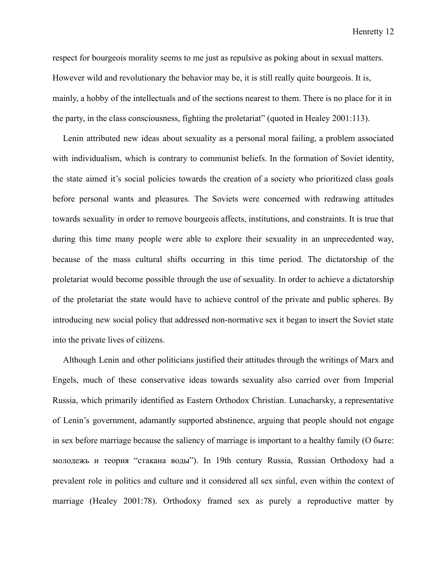respect for bourgeois morality seems to me just as repulsive as poking about in sexual matters. However wild and revolutionary the behavior may be, it is still really quite bourgeois. It is, mainly, a hobby of the intellectuals and of the sections nearest to them. There is no place for it in the party, in the class consciousness, fighting the proletariat" (quoted in Healey 2001:113).

Lenin attributed new ideas about sexuality as a personal moral failing, a problem associated with individualism, which is contrary to communist beliefs. In the formation of Soviet identity, the state aimed it's social policies towards the creation of a society who prioritized class goals before personal wants and pleasures. The Soviets were concerned with redrawing attitudes towards sexuality in order to remove bourgeois affects, institutions, and constraints. It is true that during this time many people were able to explore their sexuality in an unprecedented way, because of the mass cultural shifts occurring in this time period. The dictatorship of the proletariat would become possible through the use of sexuality. In order to achieve a dictatorship of the proletariat the state would have to achieve control of the private and public spheres. By introducing new social policy that addressed non-normative sex it began to insert the Soviet state into the private lives of citizens.

Although Lenin and other politicians justified their attitudes through the writings of Marx and Engels, much of these conservative ideas towards sexuality also carried over from Imperial Russia, which primarily identified as Eastern Orthodox Christian. Lunacharsky, a representative of Lenin's government, adamantly supported abstinence, arguing that people should not engage in sex before marriage because the saliency of marriage is important to a healthy family (О быте: молодежь и теория "стакана воды"). In 19th century Russia, Russian Orthodoxy had a prevalent role in politics and culture and it considered all sex sinful, even within the context of marriage (Healey 2001:78). Orthodoxy framed sex as purely a reproductive matter by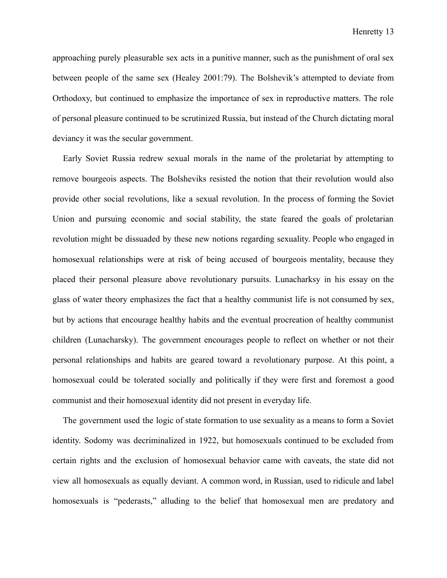approaching purely pleasurable sex acts in a punitive manner, such as the punishment of oral sex between people of the same sex (Healey 2001:79). The Bolshevik's attempted to deviate from Orthodoxy, but continued to emphasize the importance of sex in reproductive matters. The role of personal pleasure continued to be scrutinized Russia, but instead of the Church dictating moral deviancy it was the secular government.

Early Soviet Russia redrew sexual morals in the name of the proletariat by attempting to remove bourgeois aspects. The Bolsheviks resisted the notion that their revolution would also provide other social revolutions, like a sexual revolution. In the process of forming the Soviet Union and pursuing economic and social stability, the state feared the goals of proletarian revolution might be dissuaded by these new notions regarding sexuality. People who engaged in homosexual relationships were at risk of being accused of bourgeois mentality, because they placed their personal pleasure above revolutionary pursuits. Lunacharksy in his essay on the glass of water theory emphasizes the fact that a healthy communist life is not consumed by sex, but by actions that encourage healthy habits and the eventual procreation of healthy communist children (Lunacharsky). The government encourages people to reflect on whether or not their personal relationships and habits are geared toward a revolutionary purpose. At this point, a homosexual could be tolerated socially and politically if they were first and foremost a good communist and their homosexual identity did not present in everyday life.

The government used the logic of state formation to use sexuality as a means to form a Soviet identity. Sodomy was decriminalized in 1922, but homosexuals continued to be excluded from certain rights and the exclusion of homosexual behavior came with caveats, the state did not view all homosexuals as equally deviant. A common word, in Russian, used to ridicule and label homosexuals is "pederasts," alluding to the belief that homosexual men are predatory and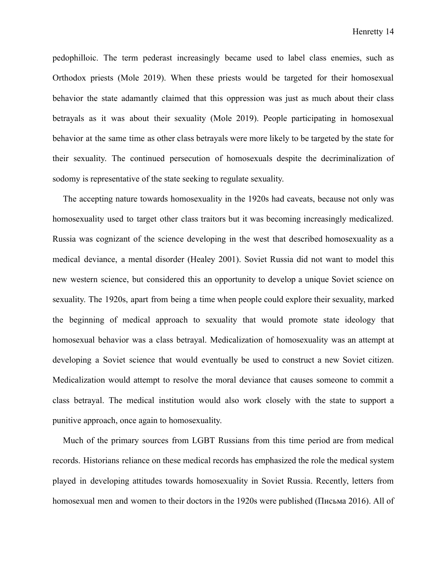pedophilloic. The term pederast increasingly became used to label class enemies, such as Orthodox priests (Mole 2019). When these priests would be targeted for their homosexual behavior the state adamantly claimed that this oppression was just as much about their class betrayals as it was about their sexuality (Mole 2019). People participating in homosexual behavior at the same time as other class betrayals were more likely to be targeted by the state for their sexuality. The continued persecution of homosexuals despite the decriminalization of sodomy is representative of the state seeking to regulate sexuality.

The accepting nature towards homosexuality in the 1920s had caveats, because not only was homosexuality used to target other class traitors but it was becoming increasingly medicalized. Russia was cognizant of the science developing in the west that described homosexuality as a medical deviance, a mental disorder (Healey 2001). Soviet Russia did not want to model this new western science, but considered this an opportunity to develop a unique Soviet science on sexuality. The 1920s, apart from being a time when people could explore their sexuality, marked the beginning of medical approach to sexuality that would promote state ideology that homosexual behavior was a class betrayal. Medicalization of homosexuality was an attempt at developing a Soviet science that would eventually be used to construct a new Soviet citizen. Medicalization would attempt to resolve the moral deviance that causes someone to commit a class betrayal. The medical institution would also work closely with the state to support a punitive approach, once again to homosexuality.

Much of the primary sources from LGBT Russians from this time period are from medical records. Historians reliance on these medical records has emphasized the role the medical system played in developing attitudes towards homosexuality in Soviet Russia. Recently, letters from homosexual men and women to their doctors in the 1920s were published (Письма 2016). All of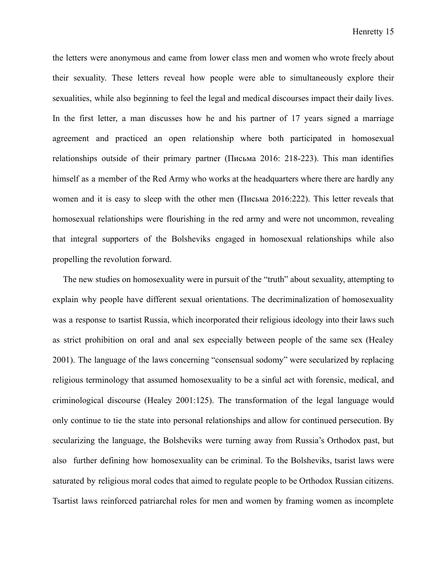the letters were anonymous and came from lower class men and women who wrote freely about their sexuality. These letters reveal how people were able to simultaneously explore their sexualities, while also beginning to feel the legal and medical discourses impact their daily lives. In the first letter, a man discusses how he and his partner of 17 years signed a marriage agreement and practiced an open relationship where both participated in homosexual relationships outside of their primary partner (Письма 2016: 218-223). This man identifies himself as a member of the Red Army who works at the headquarters where there are hardly any women and it is easy to sleep with the other men (Письма 2016:222). This letter reveals that homosexual relationships were flourishing in the red army and were not uncommon, revealing that integral supporters of the Bolsheviks engaged in homosexual relationships while also propelling the revolution forward.

The new studies on homosexuality were in pursuit of the "truth" about sexuality, attempting to explain why people have different sexual orientations. The decriminalization of homosexuality was a response to tsartist Russia, which incorporated their religious ideology into their laws such as strict prohibition on oral and anal sex especially between people of the same sex (Healey 2001). The language of the laws concerning "consensual sodomy" were secularized by replacing religious terminology that assumed homosexuality to be a sinful act with forensic, medical, and criminological discourse (Healey 2001:125). The transformation of the legal language would only continue to tie the state into personal relationships and allow for continued persecution. By secularizing the language, the Bolsheviks were turning away from Russia's Orthodox past, but also further defining how homosexuality can be criminal. To the Bolsheviks, tsarist laws were saturated by religious moral codes that aimed to regulate people to be Orthodox Russian citizens. Tsartist laws reinforced patriarchal roles for men and women by framing women as incomplete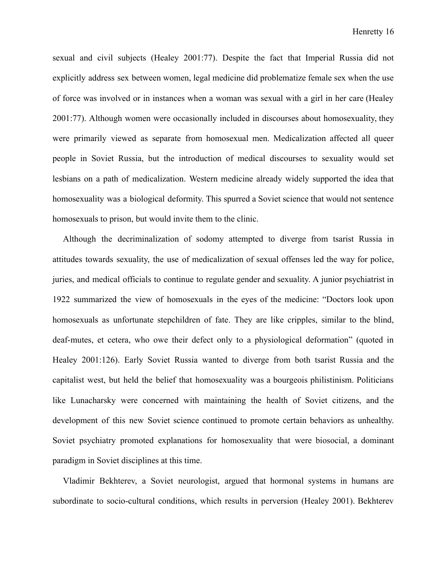sexual and civil subjects (Healey 2001:77). Despite the fact that Imperial Russia did not explicitly address sex between women, legal medicine did problematize female sex when the use of force was involved or in instances when a woman was sexual with a girl in her care (Healey 2001:77). Although women were occasionally included in discourses about homosexuality, they were primarily viewed as separate from homosexual men. Medicalization affected all queer people in Soviet Russia, but the introduction of medical discourses to sexuality would set lesbians on a path of medicalization. Western medicine already widely supported the idea that homosexuality was a biological deformity. This spurred a Soviet science that would not sentence homosexuals to prison, but would invite them to the clinic.

Although the decriminalization of sodomy attempted to diverge from tsarist Russia in attitudes towards sexuality, the use of medicalization of sexual offenses led the way for police, juries, and medical officials to continue to regulate gender and sexuality. A junior psychiatrist in 1922 summarized the view of homosexuals in the eyes of the medicine: "Doctors look upon homosexuals as unfortunate stepchildren of fate. They are like cripples, similar to the blind, deaf-mutes, et cetera, who owe their defect only to a physiological deformation" (quoted in Healey 2001:126). Early Soviet Russia wanted to diverge from both tsarist Russia and the capitalist west, but held the belief that homosexuality was a bourgeois philistinism. Politicians like Lunacharsky were concerned with maintaining the health of Soviet citizens, and the development of this new Soviet science continued to promote certain behaviors as unhealthy. Soviet psychiatry promoted explanations for homosexuality that were biosocial, a dominant paradigm in Soviet disciplines at this time.

Vladimir Bekhterev, a Soviet neurologist, argued that hormonal systems in humans are subordinate to socio-cultural conditions, which results in perversion (Healey 2001). Bekhterev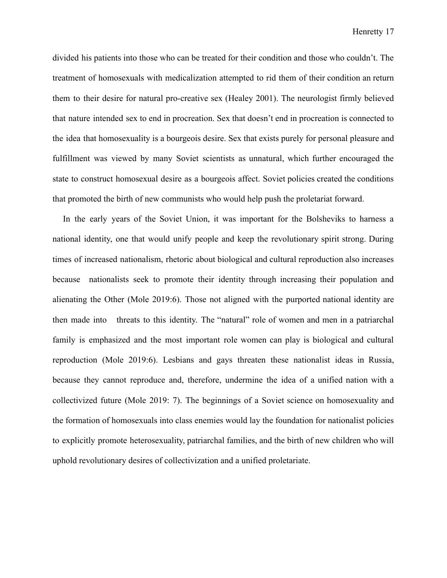divided his patients into those who can be treated for their condition and those who couldn't. The treatment of homosexuals with medicalization attempted to rid them of their condition an return them to their desire for natural pro-creative sex (Healey 2001). The neurologist firmly believed that nature intended sex to end in procreation. Sex that doesn't end in procreation is connected to the idea that homosexuality is a bourgeois desire. Sex that exists purely for personal pleasure and fulfillment was viewed by many Soviet scientists as unnatural, which further encouraged the state to construct homosexual desire as a bourgeois affect. Soviet policies created the conditions that promoted the birth of new communists who would help push the proletariat forward.

In the early years of the Soviet Union, it was important for the Bolsheviks to harness a national identity, one that would unify people and keep the revolutionary spirit strong. During times of increased nationalism, rhetoric about biological and cultural reproduction also increases because nationalists seek to promote their identity through increasing their population and alienating the Other (Mole 2019:6). Those not aligned with the purported national identity are then made into threats to this identity. The "natural" role of women and men in a patriarchal family is emphasized and the most important role women can play is biological and cultural reproduction (Mole 2019:6). Lesbians and gays threaten these nationalist ideas in Russia, because they cannot reproduce and, therefore, undermine the idea of a unified nation with a collectivized future (Mole 2019: 7). The beginnings of a Soviet science on homosexuality and the formation of homosexuals into class enemies would lay the foundation for nationalist policies to explicitly promote heterosexuality, patriarchal families, and the birth of new children who will uphold revolutionary desires of collectivization and a unified proletariate.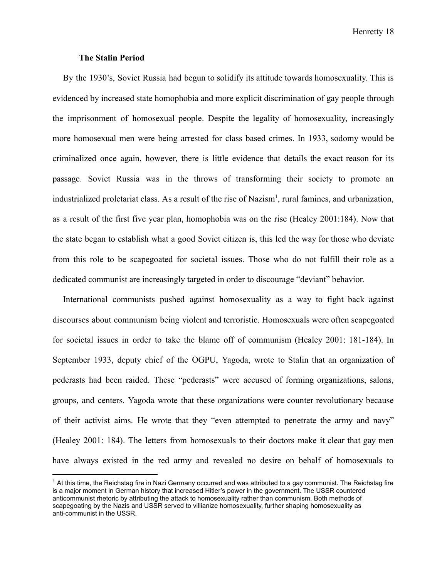#### **The Stalin Period**

By the 1930's, Soviet Russia had begun to solidify its attitude towards homosexuality. This is evidenced by increased state homophobia and more explicit discrimination of gay people through the imprisonment of homosexual people. Despite the legality of homosexuality, increasingly more homosexual men were being arrested for class based crimes. In 1933, sodomy would be criminalized once again, however, there is little evidence that details the exact reason for its passage. Soviet Russia was in the throws of transforming their society to promote an industrialized proletariat class. As a result of the rise of Nazism<sup>1</sup>, rural famines, and urbanization, as a result of the first five year plan, homophobia was on the rise (Healey 2001:184). Now that the state began to establish what a good Soviet citizen is, this led the way for those who deviate from this role to be scapegoated for societal issues. Those who do not fulfill their role as a dedicated communist are increasingly targeted in order to discourage "deviant" behavior.

International communists pushed against homosexuality as a way to fight back against discourses about communism being violent and terroristic. Homosexuals were often scapegoated for societal issues in order to take the blame off of communism (Healey 2001: 181-184). In September 1933, deputy chief of the OGPU, Yagoda, wrote to Stalin that an organization of pederasts had been raided. These "pederasts" were accused of forming organizations, salons, groups, and centers. Yagoda wrote that these organizations were counter revolutionary because of their activist aims. He wrote that they "even attempted to penetrate the army and navy" (Healey 2001: 184). The letters from homosexuals to their doctors make it clear that gay men have always existed in the red army and revealed no desire on behalf of homosexuals to

 $1$  At this time, the Reichstag fire in Nazi Germany occurred and was attributed to a gay communist. The Reichstag fire is a major moment in German history that increased Hitler's power in the government. The USSR countered anticommunist rhetoric by attributing the attack to homosexuality rather than communism. Both methods of scapegoating by the Nazis and USSR served to villianize homosexuality, further shaping homosexuality as anti-communist in the USSR.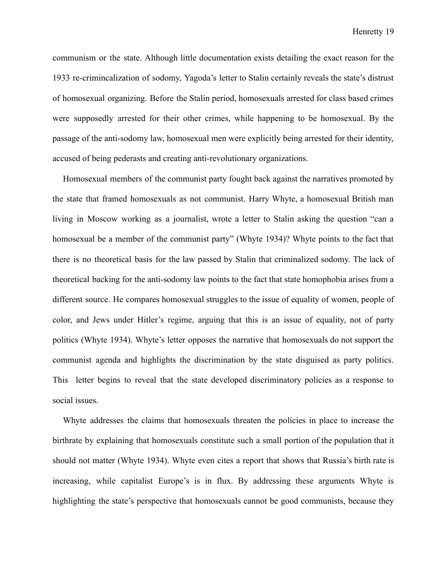communism or the state. Although little documentation exists detailing the exact reason for the 1933 re-crimincalization of sodomy, Yagoda's letter to Stalin certainly reveals the state's distrust of homosexual organizing. Before the Stalin period, homosexuals arrested for class based crimes were supposedly arrested for their other crimes, while happening to be homosexual. By the passage of the anti-sodomy law, homosexual men were explicitly being arrested for their identity, accused of being pederasts and creating anti-revolutionary organizations.

Homosexual members of the communist party fought back against the narratives promoted by the state that framed homosexuals as not communist. Harry Whyte, a homosexual British man living in Moscow working as a journalist, wrote a letter to Stalin asking the question "can a homosexual be a member of the communist party" (Whyte 1934)? Whyte points to the fact that there is no theoretical basis for the law passed by Stalin that criminalized sodomy. The lack of theoretical backing for the anti-sodomy law points to the fact that state homophobia arises from a different source. He compares homosexual struggles to the issue of equality of women, people of color, and Jews under Hitler's regime, arguing that this is an issue of equality, not of party politics (Whyte 1934). Whyte's letter opposes the narrative that homosexuals do not support the communist agenda and highlights the discrimination by the state disguised as party politics. This letter begins to reveal that the state developed discriminatory policies as a response to social issues.

Whyte addresses the claims that homosexuals threaten the policies in place to increase the birthrate by explaining that homosexuals constitute such a small portion of the population that it should not matter (Whyte 1934). Whyte even cites a report that shows that Russia's birth rate is increasing, while capitalist Europe's is in flux. By addressing these arguments Whyte is highlighting the state's perspective that homosexuals cannot be good communists, because they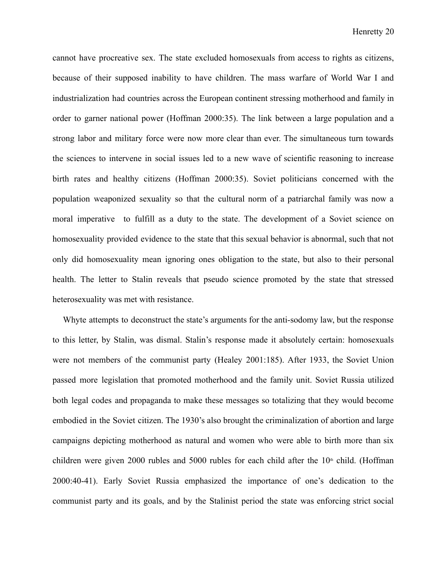cannot have procreative sex. The state excluded homosexuals from access to rights as citizens, because of their supposed inability to have children. The mass warfare of World War I and industrialization had countries across the European continent stressing motherhood and family in order to garner national power (Hoffman 2000:35). The link between a large population and a strong labor and military force were now more clear than ever. The simultaneous turn towards the sciences to intervene in social issues led to a new wave of scientific reasoning to increase birth rates and healthy citizens (Hoffman 2000:35). Soviet politicians concerned with the population weaponized sexuality so that the cultural norm of a patriarchal family was now a moral imperative to fulfill as a duty to the state. The development of a Soviet science on homosexuality provided evidence to the state that this sexual behavior is abnormal, such that not only did homosexuality mean ignoring ones obligation to the state, but also to their personal health. The letter to Stalin reveals that pseudo science promoted by the state that stressed heterosexuality was met with resistance.

Whyte attempts to deconstruct the state's arguments for the anti-sodomy law, but the response to this letter, by Stalin, was dismal. Stalin's response made it absolutely certain: homosexuals were not members of the communist party (Healey 2001:185). After 1933, the Soviet Union passed more legislation that promoted motherhood and the family unit. Soviet Russia utilized both legal codes and propaganda to make these messages so totalizing that they would become embodied in the Soviet citizen. The 1930's also brought the criminalization of abortion and large campaigns depicting motherhood as natural and women who were able to birth more than six children were given 2000 rubles and 5000 rubles for each child after the  $10<sup>th</sup>$  child. (Hoffman 2000:40-41). Early Soviet Russia emphasized the importance of one's dedication to the communist party and its goals, and by the Stalinist period the state was enforcing strict social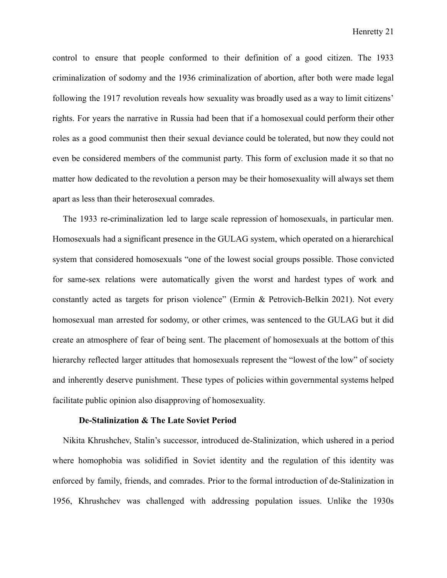control to ensure that people conformed to their definition of a good citizen. The 1933 criminalization of sodomy and the 1936 criminalization of abortion, after both were made legal following the 1917 revolution reveals how sexuality was broadly used as a way to limit citizens' rights. For years the narrative in Russia had been that if a homosexual could perform their other roles as a good communist then their sexual deviance could be tolerated, but now they could not even be considered members of the communist party. This form of exclusion made it so that no matter how dedicated to the revolution a person may be their homosexuality will always set them apart as less than their heterosexual comrades.

The 1933 re-criminalization led to large scale repression of homosexuals, in particular men. Homosexuals had a significant presence in the GULAG system, which operated on a hierarchical system that considered homosexuals "one of the lowest social groups possible. Those convicted for same-sex relations were automatically given the worst and hardest types of work and constantly acted as targets for prison violence" (Ermin & Petrovich-Belkin 2021). Not every homosexual man arrested for sodomy, or other crimes, was sentenced to the GULAG but it did create an atmosphere of fear of being sent. The placement of homosexuals at the bottom of this hierarchy reflected larger attitudes that homosexuals represent the "lowest of the low" of society and inherently deserve punishment. These types of policies within governmental systems helped facilitate public opinion also disapproving of homosexuality.

#### **De-Stalinization & The Late Soviet Period**

Nikita Khrushchev, Stalin's successor, introduced de-Stalinization, which ushered in a period where homophobia was solidified in Soviet identity and the regulation of this identity was enforced by family, friends, and comrades. Prior to the formal introduction of de-Stalinization in 1956, Khrushchev was challenged with addressing population issues. Unlike the 1930s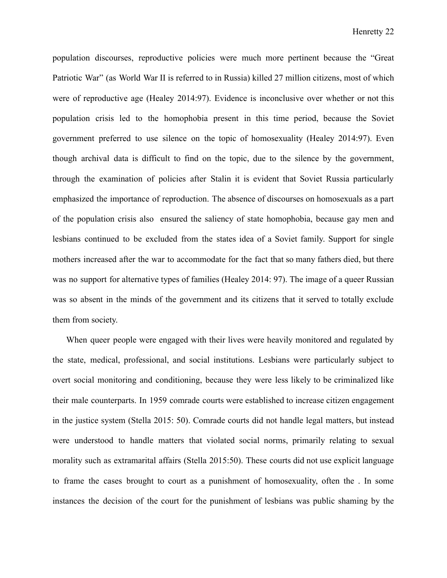population discourses, reproductive policies were much more pertinent because the "Great Patriotic War" (as World War II is referred to in Russia) killed 27 million citizens, most of which were of reproductive age (Healey 2014:97). Evidence is inconclusive over whether or not this population crisis led to the homophobia present in this time period, because the Soviet government preferred to use silence on the topic of homosexuality (Healey 2014:97). Even though archival data is difficult to find on the topic, due to the silence by the government, through the examination of policies after Stalin it is evident that Soviet Russia particularly emphasized the importance of reproduction. The absence of discourses on homosexuals as a part of the population crisis also ensured the saliency of state homophobia, because gay men and lesbians continued to be excluded from the states idea of a Soviet family. Support for single mothers increased after the war to accommodate for the fact that so many fathers died, but there was no support for alternative types of families (Healey 2014: 97). The image of a queer Russian was so absent in the minds of the government and its citizens that it served to totally exclude them from society.

When queer people were engaged with their lives were heavily monitored and regulated by the state, medical, professional, and social institutions. Lesbians were particularly subject to overt social monitoring and conditioning, because they were less likely to be criminalized like their male counterparts. In 1959 comrade courts were established to increase citizen engagement in the justice system (Stella 2015: 50). Comrade courts did not handle legal matters, but instead were understood to handle matters that violated social norms, primarily relating to sexual morality such as extramarital affairs (Stella 2015:50). These courts did not use explicit language to frame the cases brought to court as a punishment of homosexuality, often the . In some instances the decision of the court for the punishment of lesbians was public shaming by the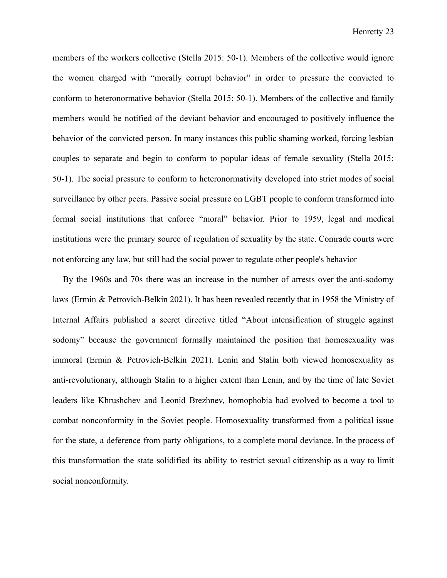members of the workers collective (Stella 2015: 50-1). Members of the collective would ignore the women charged with "morally corrupt behavior" in order to pressure the convicted to conform to heteronormative behavior (Stella 2015: 50-1). Members of the collective and family members would be notified of the deviant behavior and encouraged to positively influence the behavior of the convicted person. In many instances this public shaming worked, forcing lesbian couples to separate and begin to conform to popular ideas of female sexuality (Stella 2015: 50-1). The social pressure to conform to heteronormativity developed into strict modes of social surveillance by other peers. Passive social pressure on LGBT people to conform transformed into formal social institutions that enforce "moral" behavior. Prior to 1959, legal and medical institutions were the primary source of regulation of sexuality by the state. Comrade courts were not enforcing any law, but still had the social power to regulate other people's behavior

By the 1960s and 70s there was an increase in the number of arrests over the anti-sodomy laws (Ermin & Petrovich-Belkin 2021). It has been revealed recently that in 1958 the Ministry of Internal Affairs published a secret directive titled "About intensification of struggle against sodomy" because the government formally maintained the position that homosexuality was immoral (Ermin & Petrovich-Belkin 2021). Lenin and Stalin both viewed homosexuality as anti-revolutionary, although Stalin to a higher extent than Lenin, and by the time of late Soviet leaders like Khrushchev and Leonid Brezhnev, homophobia had evolved to become a tool to combat nonconformity in the Soviet people. Homosexuality transformed from a political issue for the state, a deference from party obligations, to a complete moral deviance. In the process of this transformation the state solidified its ability to restrict sexual citizenship as a way to limit social nonconformity.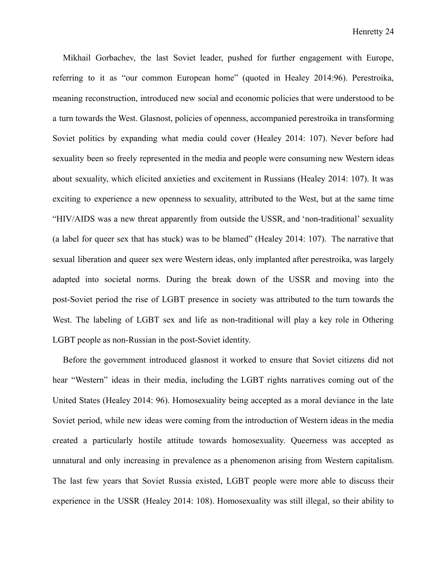Mikhail Gorbachev, the last Soviet leader, pushed for further engagement with Europe, referring to it as "our common European home" (quoted in Healey 2014:96). Perestroika, meaning reconstruction, introduced new social and economic policies that were understood to be a turn towards the West. Glasnost, policies of openness, accompanied perestroika in transforming Soviet politics by expanding what media could cover (Healey 2014: 107). Never before had sexuality been so freely represented in the media and people were consuming new Western ideas about sexuality, which elicited anxieties and excitement in Russians (Healey 2014: 107). It was exciting to experience a new openness to sexuality, attributed to the West, but at the same time "HIV/AIDS was a new threat apparently from outside the USSR, and 'non-traditional' sexuality (a label for queer sex that has stuck) was to be blamed" (Healey 2014: 107). The narrative that sexual liberation and queer sex were Western ideas, only implanted after perestroika, was largely adapted into societal norms. During the break down of the USSR and moving into the post-Soviet period the rise of LGBT presence in society was attributed to the turn towards the West. The labeling of LGBT sex and life as non-traditional will play a key role in Othering LGBT people as non-Russian in the post-Soviet identity.

Before the government introduced glasnost it worked to ensure that Soviet citizens did not hear "Western" ideas in their media, including the LGBT rights narratives coming out of the United States (Healey 2014: 96). Homosexuality being accepted as a moral deviance in the late Soviet period, while new ideas were coming from the introduction of Western ideas in the media created a particularly hostile attitude towards homosexuality. Queerness was accepted as unnatural and only increasing in prevalence as a phenomenon arising from Western capitalism. The last few years that Soviet Russia existed, LGBT people were more able to discuss their experience in the USSR (Healey 2014: 108). Homosexuality was still illegal, so their ability to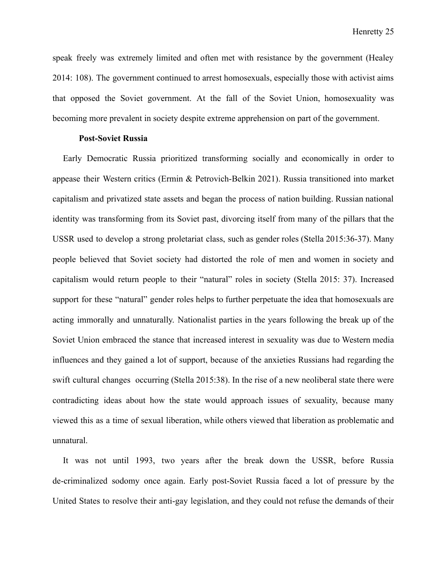speak freely was extremely limited and often met with resistance by the government (Healey 2014: 108). The government continued to arrest homosexuals, especially those with activist aims that opposed the Soviet government. At the fall of the Soviet Union, homosexuality was becoming more prevalent in society despite extreme apprehension on part of the government.

#### **Post-Soviet Russia**

Early Democratic Russia prioritized transforming socially and economically in order to appease their Western critics (Ermin & Petrovich-Belkin 2021). Russia transitioned into market capitalism and privatized state assets and began the process of nation building. Russian national identity was transforming from its Soviet past, divorcing itself from many of the pillars that the USSR used to develop a strong proletariat class, such as gender roles (Stella 2015:36-37). Many people believed that Soviet society had distorted the role of men and women in society and capitalism would return people to their "natural" roles in society (Stella 2015: 37). Increased support for these "natural" gender roles helps to further perpetuate the idea that homosexuals are acting immorally and unnaturally. Nationalist parties in the years following the break up of the Soviet Union embraced the stance that increased interest in sexuality was due to Western media influences and they gained a lot of support, because of the anxieties Russians had regarding the swift cultural changes occurring (Stella 2015:38). In the rise of a new neoliberal state there were contradicting ideas about how the state would approach issues of sexuality, because many viewed this as a time of sexual liberation, while others viewed that liberation as problematic and unnatural.

It was not until 1993, two years after the break down the USSR, before Russia de-criminalized sodomy once again. Early post-Soviet Russia faced a lot of pressure by the United States to resolve their anti-gay legislation, and they could not refuse the demands of their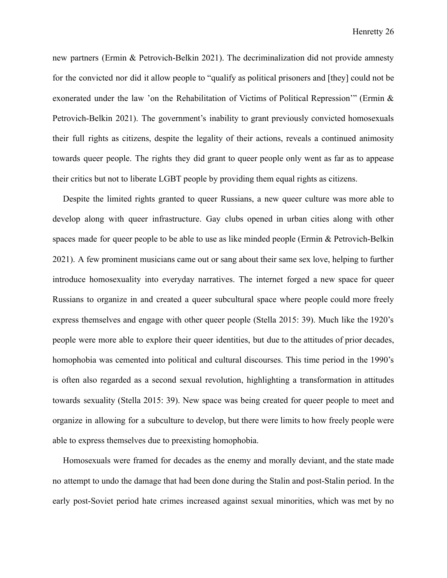new partners (Ermin & Petrovich-Belkin 2021). The decriminalization did not provide amnesty for the convicted nor did it allow people to "qualify as political prisoners and [they] could not be exonerated under the law 'on the Rehabilitation of Victims of Political Repression'" (Ermin & Petrovich-Belkin 2021). The government's inability to grant previously convicted homosexuals their full rights as citizens, despite the legality of their actions, reveals a continued animosity towards queer people. The rights they did grant to queer people only went as far as to appease their critics but not to liberate LGBT people by providing them equal rights as citizens.

Despite the limited rights granted to queer Russians, a new queer culture was more able to develop along with queer infrastructure. Gay clubs opened in urban cities along with other spaces made for queer people to be able to use as like minded people (Ermin & Petrovich-Belkin 2021). A few prominent musicians came out or sang about their same sex love, helping to further introduce homosexuality into everyday narratives. The internet forged a new space for queer Russians to organize in and created a queer subcultural space where people could more freely express themselves and engage with other queer people (Stella 2015: 39). Much like the 1920's people were more able to explore their queer identities, but due to the attitudes of prior decades, homophobia was cemented into political and cultural discourses. This time period in the 1990's is often also regarded as a second sexual revolution, highlighting a transformation in attitudes towards sexuality (Stella 2015: 39). New space was being created for queer people to meet and organize in allowing for a subculture to develop, but there were limits to how freely people were able to express themselves due to preexisting homophobia.

Homosexuals were framed for decades as the enemy and morally deviant, and the state made no attempt to undo the damage that had been done during the Stalin and post-Stalin period. In the early post-Soviet period hate crimes increased against sexual minorities, which was met by no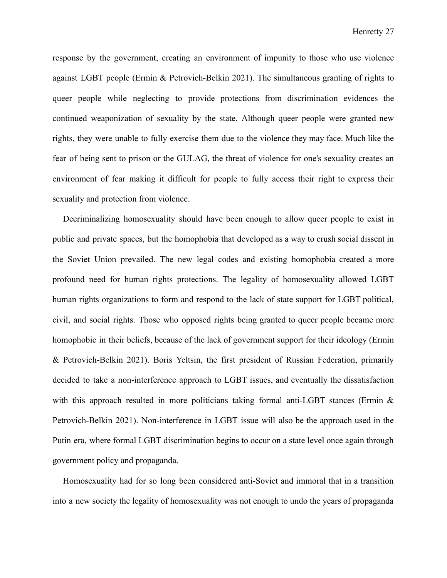response by the government, creating an environment of impunity to those who use violence against LGBT people (Ermin & Petrovich-Belkin 2021). The simultaneous granting of rights to queer people while neglecting to provide protections from discrimination evidences the continued weaponization of sexuality by the state. Although queer people were granted new rights, they were unable to fully exercise them due to the violence they may face. Much like the fear of being sent to prison or the GULAG, the threat of violence for one's sexuality creates an environment of fear making it difficult for people to fully access their right to express their sexuality and protection from violence.

Decriminalizing homosexuality should have been enough to allow queer people to exist in public and private spaces, but the homophobia that developed as a way to crush social dissent in the Soviet Union prevailed. The new legal codes and existing homophobia created a more profound need for human rights protections. The legality of homosexuality allowed LGBT human rights organizations to form and respond to the lack of state support for LGBT political, civil, and social rights. Those who opposed rights being granted to queer people became more homophobic in their beliefs, because of the lack of government support for their ideology (Ermin & Petrovich-Belkin 2021). Boris Yeltsin, the first president of Russian Federation, primarily decided to take a non-interference approach to LGBT issues, and eventually the dissatisfaction with this approach resulted in more politicians taking formal anti-LGBT stances (Ermin & Petrovich-Belkin 2021). Non-interference in LGBT issue will also be the approach used in the Putin era, where formal LGBT discrimination begins to occur on a state level once again through government policy and propaganda.

Homosexuality had for so long been considered anti-Soviet and immoral that in a transition into a new society the legality of homosexuality was not enough to undo the years of propaganda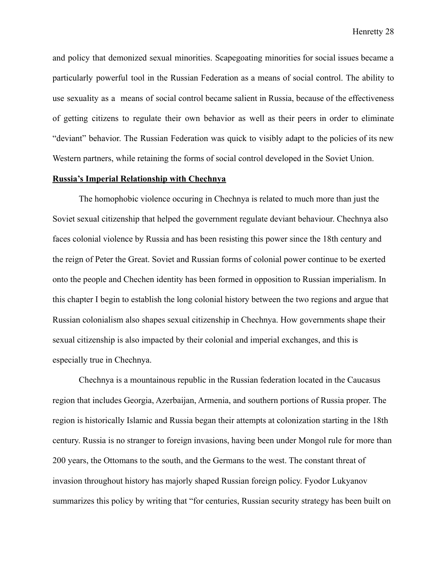and policy that demonized sexual minorities. Scapegoating minorities for social issues became a particularly powerful tool in the Russian Federation as a means of social control. The ability to use sexuality as a means of social control became salient in Russia, because of the effectiveness of getting citizens to regulate their own behavior as well as their peers in order to eliminate "deviant" behavior. The Russian Federation was quick to visibly adapt to the policies of its new Western partners, while retaining the forms of social control developed in the Soviet Union.

### **Russia's Imperial Relationship with Chechnya**

The homophobic violence occuring in Chechnya is related to much more than just the Soviet sexual citizenship that helped the government regulate deviant behaviour. Chechnya also faces colonial violence by Russia and has been resisting this power since the 18th century and the reign of Peter the Great. Soviet and Russian forms of colonial power continue to be exerted onto the people and Chechen identity has been formed in opposition to Russian imperialism. In this chapter I begin to establish the long colonial history between the two regions and argue that Russian colonialism also shapes sexual citizenship in Chechnya. How governments shape their sexual citizenship is also impacted by their colonial and imperial exchanges, and this is especially true in Chechnya.

Chechnya is a mountainous republic in the Russian federation located in the Caucasus region that includes Georgia, Azerbaijan, Armenia, and southern portions of Russia proper. The region is historically Islamic and Russia began their attempts at colonization starting in the 18th century. Russia is no stranger to foreign invasions, having been under Mongol rule for more than 200 years, the Ottomans to the south, and the Germans to the west. The constant threat of invasion throughout history has majorly shaped Russian foreign policy. Fyodor Lukyanov summarizes this policy by writing that "for centuries, Russian security strategy has been built on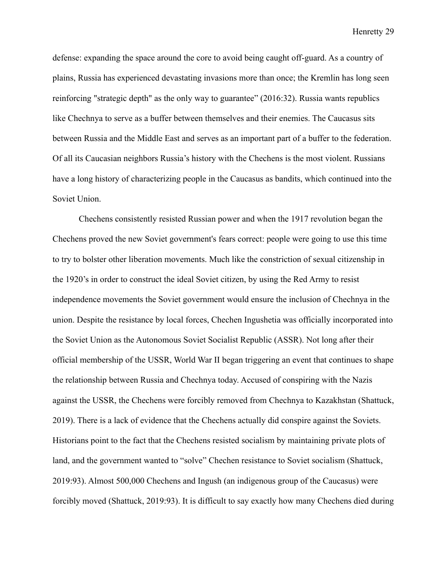defense: expanding the space around the core to avoid being caught off-guard. As a country of plains, Russia has experienced devastating invasions more than once; the Kremlin has long seen reinforcing "strategic depth" as the only way to guarantee" (2016:32). Russia wants republics like Chechnya to serve as a buffer between themselves and their enemies. The Caucasus sits between Russia and the Middle East and serves as an important part of a buffer to the federation. Of all its Caucasian neighbors Russia's history with the Chechens is the most violent. Russians have a long history of characterizing people in the Caucasus as bandits, which continued into the Soviet Union.

Chechens consistently resisted Russian power and when the 1917 revolution began the Chechens proved the new Soviet government's fears correct: people were going to use this time to try to bolster other liberation movements. Much like the constriction of sexual citizenship in the 1920's in order to construct the ideal Soviet citizen, by using the Red Army to resist independence movements the Soviet government would ensure the inclusion of Chechnya in the union. Despite the resistance by local forces, Chechen Ingushetia was officially incorporated into the Soviet Union as the Autonomous Soviet Socialist Republic (ASSR). Not long after their official membership of the USSR, World War II began triggering an event that continues to shape the relationship between Russia and Chechnya today. Accused of conspiring with the Nazis against the USSR, the Chechens were forcibly removed from Chechnya to Kazakhstan (Shattuck, 2019). There is a lack of evidence that the Chechens actually did conspire against the Soviets. Historians point to the fact that the Chechens resisted socialism by maintaining private plots of land, and the government wanted to "solve" Chechen resistance to Soviet socialism (Shattuck, 2019:93). Almost 500,000 Chechens and Ingush (an indigenous group of the Caucasus) were forcibly moved (Shattuck, 2019:93). It is difficult to say exactly how many Chechens died during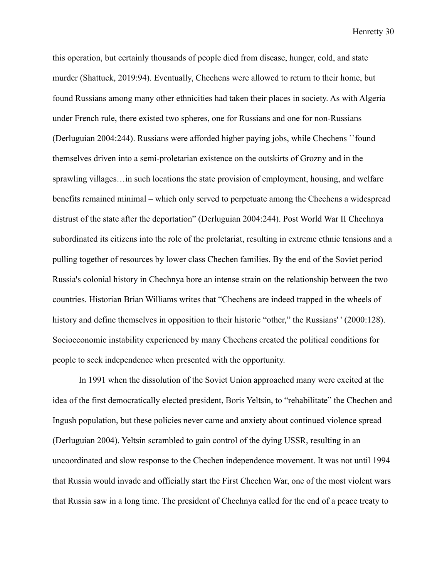this operation, but certainly thousands of people died from disease, hunger, cold, and state murder (Shattuck, 2019:94). Eventually, Chechens were allowed to return to their home, but found Russians among many other ethnicities had taken their places in society. As with Algeria under French rule, there existed two spheres, one for Russians and one for non-Russians (Derluguian 2004:244). Russians were afforded higher paying jobs, while Chechens ``found themselves driven into a semi-proletarian existence on the outskirts of Grozny and in the sprawling villages…in such locations the state provision of employment, housing, and welfare benefits remained minimal – which only served to perpetuate among the Chechens a widespread distrust of the state after the deportation" (Derluguian 2004:244). Post World War II Chechnya subordinated its citizens into the role of the proletariat, resulting in extreme ethnic tensions and a pulling together of resources by lower class Chechen families. By the end of the Soviet period Russia's colonial history in Chechnya bore an intense strain on the relationship between the two countries. Historian Brian Williams writes that "Chechens are indeed trapped in the wheels of history and define themselves in opposition to their historic "other," the Russians' ' (2000:128). Socioeconomic instability experienced by many Chechens created the political conditions for people to seek independence when presented with the opportunity.

In 1991 when the dissolution of the Soviet Union approached many were excited at the idea of the first democratically elected president, Boris Yeltsin, to "rehabilitate" the Chechen and Ingush population, but these policies never came and anxiety about continued violence spread (Derluguian 2004). Yeltsin scrambled to gain control of the dying USSR, resulting in an uncoordinated and slow response to the Chechen independence movement. It was not until 1994 that Russia would invade and officially start the First Chechen War, one of the most violent wars that Russia saw in a long time. The president of Chechnya called for the end of a peace treaty to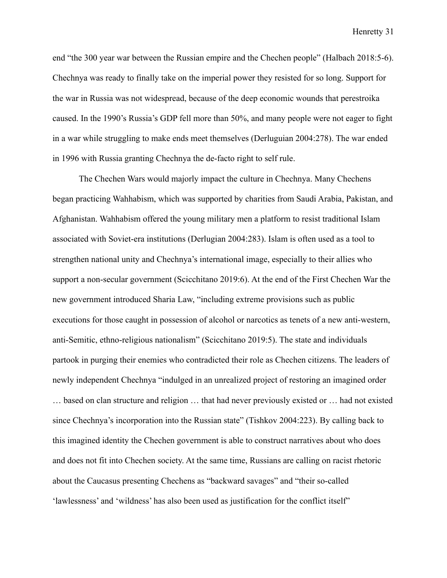end "the 300 year war between the Russian empire and the Chechen people" (Halbach 2018:5-6). Chechnya was ready to finally take on the imperial power they resisted for so long. Support for the war in Russia was not widespread, because of the deep economic wounds that perestroika caused. In the 1990's Russia's GDP fell more than 50%, and many people were not eager to fight in a war while struggling to make ends meet themselves (Derluguian 2004:278). The war ended in 1996 with Russia granting Chechnya the de-facto right to self rule.

The Chechen Wars would majorly impact the culture in Chechnya. Many Chechens began practicing Wahhabism, which was supported by charities from Saudi Arabia, Pakistan, and Afghanistan. Wahhabism offered the young military men a platform to resist traditional Islam associated with Soviet-era institutions (Derlugian 2004:283). Islam is often used as a tool to strengthen national unity and Chechnya's international image, especially to their allies who support a non-secular government (Scicchitano 2019:6). At the end of the First Chechen War the new government introduced Sharia Law, "including extreme provisions such as public executions for those caught in possession of alcohol or narcotics as tenets of a new anti-western, anti-Semitic, ethno-religious nationalism" (Scicchitano 2019:5). The state and individuals partook in purging their enemies who contradicted their role as Chechen citizens. The leaders of newly independent Chechnya "indulged in an unrealized project of restoring an imagined order … based on clan structure and religion … that had never previously existed or … had not existed since Chechnya's incorporation into the Russian state" (Tishkov 2004:223). By calling back to this imagined identity the Chechen government is able to construct narratives about who does and does not fit into Chechen society. At the same time, Russians are calling on racist rhetoric about the Caucasus presenting Chechens as "backward savages" and "their so-called 'lawlessness' and 'wildness' has also been used as justification for the conflict itself"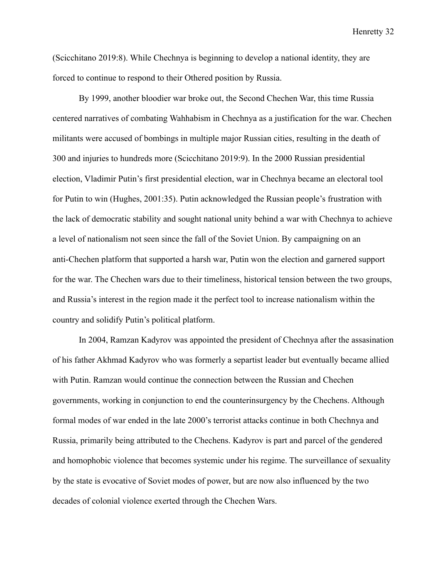(Scicchitano 2019:8). While Chechnya is beginning to develop a national identity, they are forced to continue to respond to their Othered position by Russia.

By 1999, another bloodier war broke out, the Second Chechen War, this time Russia centered narratives of combating Wahhabism in Chechnya as a justification for the war. Chechen militants were accused of bombings in multiple major Russian cities, resulting in the death of 300 and injuries to hundreds more (Scicchitano 2019:9). In the 2000 Russian presidential election, Vladimir Putin's first presidential election, war in Chechnya became an electoral tool for Putin to win (Hughes, 2001:35). Putin acknowledged the Russian people's frustration with the lack of democratic stability and sought national unity behind a war with Chechnya to achieve a level of nationalism not seen since the fall of the Soviet Union. By campaigning on an anti-Chechen platform that supported a harsh war, Putin won the election and garnered support for the war. The Chechen wars due to their timeliness, historical tension between the two groups, and Russia's interest in the region made it the perfect tool to increase nationalism within the country and solidify Putin's political platform.

In 2004, Ramzan Kadyrov was appointed the president of Chechnya after the assasination of his father Akhmad Kadyrov who was formerly a separtist leader but eventually became allied with Putin. Ramzan would continue the connection between the Russian and Chechen governments, working in conjunction to end the counterinsurgency by the Chechens. Although formal modes of war ended in the late 2000's terrorist attacks continue in both Chechnya and Russia, primarily being attributed to the Chechens. Kadyrov is part and parcel of the gendered and homophobic violence that becomes systemic under his regime. The surveillance of sexuality by the state is evocative of Soviet modes of power, but are now also influenced by the two decades of colonial violence exerted through the Chechen Wars.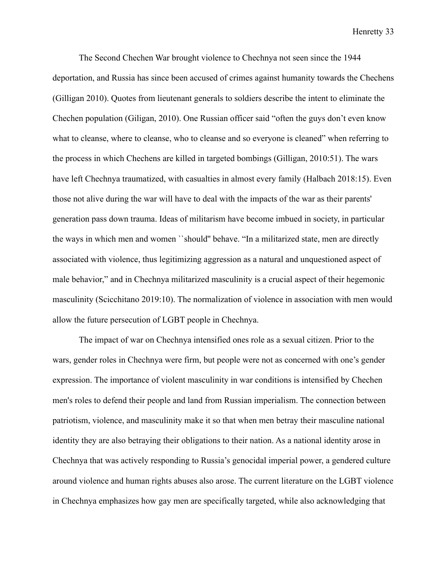The Second Chechen War brought violence to Chechnya not seen since the 1944 deportation, and Russia has since been accused of crimes against humanity towards the Chechens (Gilligan 2010). Quotes from lieutenant generals to soldiers describe the intent to eliminate the Chechen population (Giligan, 2010). One Russian officer said "often the guys don't even know what to cleanse, where to cleanse, who to cleanse and so everyone is cleaned" when referring to the process in which Chechens are killed in targeted bombings (Gilligan, 2010:51). The wars have left Chechnya traumatized, with casualties in almost every family (Halbach 2018:15). Even those not alive during the war will have to deal with the impacts of the war as their parents' generation pass down trauma. Ideas of militarism have become imbued in society, in particular the ways in which men and women ``should'' behave. "In a militarized state, men are directly associated with violence, thus legitimizing aggression as a natural and unquestioned aspect of male behavior," and in Chechnya militarized masculinity is a crucial aspect of their hegemonic masculinity (Scicchitano 2019:10). The normalization of violence in association with men would allow the future persecution of LGBT people in Chechnya.

The impact of war on Chechnya intensified ones role as a sexual citizen. Prior to the wars, gender roles in Chechnya were firm, but people were not as concerned with one's gender expression. The importance of violent masculinity in war conditions is intensified by Chechen men's roles to defend their people and land from Russian imperialism. The connection between patriotism, violence, and masculinity make it so that when men betray their masculine national identity they are also betraying their obligations to their nation. As a national identity arose in Chechnya that was actively responding to Russia's genocidal imperial power, a gendered culture around violence and human rights abuses also arose. The current literature on the LGBT violence in Chechnya emphasizes how gay men are specifically targeted, while also acknowledging that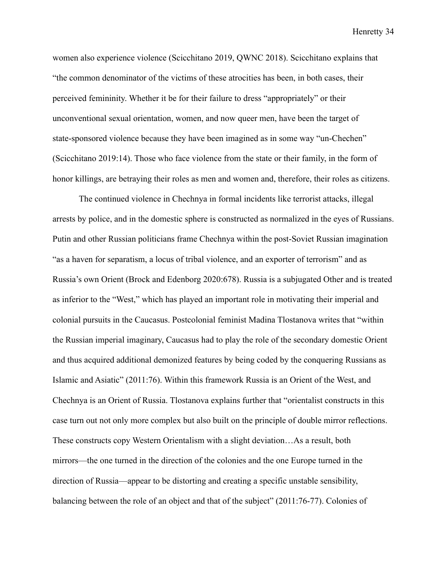women also experience violence (Scicchitano 2019, QWNC 2018). Scicchitano explains that "the common denominator of the victims of these atrocities has been, in both cases, their perceived femininity. Whether it be for their failure to dress "appropriately" or their unconventional sexual orientation, women, and now queer men, have been the target of state-sponsored violence because they have been imagined as in some way "un-Chechen" (Scicchitano 2019:14). Those who face violence from the state or their family, in the form of honor killings, are betraying their roles as men and women and, therefore, their roles as citizens.

The continued violence in Chechnya in formal incidents like terrorist attacks, illegal arrests by police, and in the domestic sphere is constructed as normalized in the eyes of Russians. Putin and other Russian politicians frame Chechnya within the post-Soviet Russian imagination "as a haven for separatism, a locus of tribal violence, and an exporter of terrorism" and as Russia's own Orient (Brock and Edenborg 2020:678). Russia is a subjugated Other and is treated as inferior to the "West," which has played an important role in motivating their imperial and colonial pursuits in the Caucasus. Postcolonial feminist Madina Tlostanova writes that "within the Russian imperial imaginary, Caucasus had to play the role of the secondary domestic Orient and thus acquired additional demonized features by being coded by the conquering Russians as Islamic and Asiatic" (2011:76). Within this framework Russia is an Orient of the West, and Chechnya is an Orient of Russia. Tlostanova explains further that "orientalist constructs in this case turn out not only more complex but also built on the principle of double mirror reflections. These constructs copy Western Orientalism with a slight deviation…As a result, both mirrors—the one turned in the direction of the colonies and the one Europe turned in the direction of Russia—appear to be distorting and creating a specific unstable sensibility, balancing between the role of an object and that of the subject" (2011:76-77). Colonies of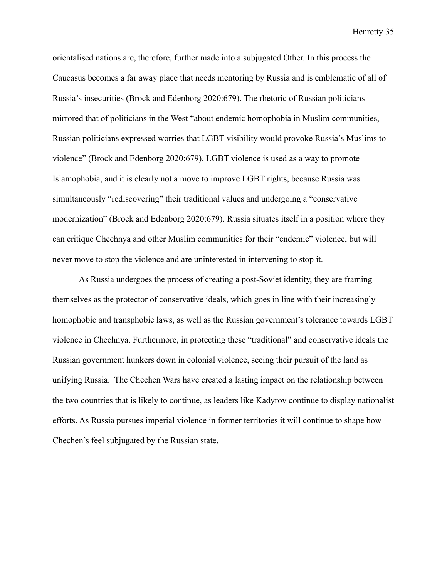orientalised nations are, therefore, further made into a subjugated Other. In this process the Caucasus becomes a far away place that needs mentoring by Russia and is emblematic of all of Russia's insecurities (Brock and Edenborg 2020:679). The rhetoric of Russian politicians mirrored that of politicians in the West "about endemic homophobia in Muslim communities, Russian politicians expressed worries that LGBT visibility would provoke Russia's Muslims to violence" (Brock and Edenborg 2020:679). LGBT violence is used as a way to promote Islamophobia, and it is clearly not a move to improve LGBT rights, because Russia was simultaneously "rediscovering" their traditional values and undergoing a "conservative modernization" (Brock and Edenborg 2020:679). Russia situates itself in a position where they can critique Chechnya and other Muslim communities for their "endemic" violence, but will never move to stop the violence and are uninterested in intervening to stop it.

As Russia undergoes the process of creating a post-Soviet identity, they are framing themselves as the protector of conservative ideals, which goes in line with their increasingly homophobic and transphobic laws, as well as the Russian government's tolerance towards LGBT violence in Chechnya. Furthermore, in protecting these "traditional" and conservative ideals the Russian government hunkers down in colonial violence, seeing their pursuit of the land as unifying Russia. The Chechen Wars have created a lasting impact on the relationship between the two countries that is likely to continue, as leaders like Kadyrov continue to display nationalist efforts. As Russia pursues imperial violence in former territories it will continue to shape how Chechen's feel subjugated by the Russian state.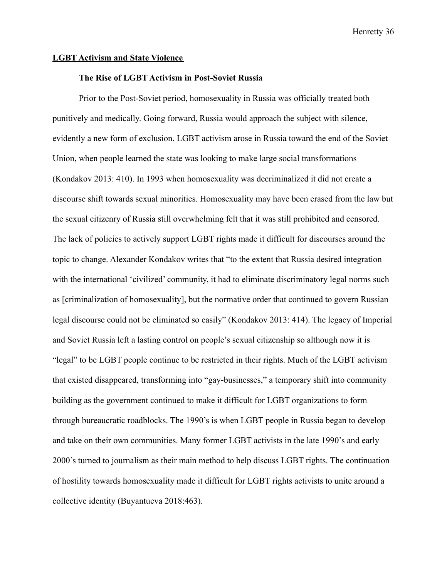### **LGBT Activism and State Violence**

## **The Rise of LGBT Activism in Post-Soviet Russia**

Prior to the Post-Soviet period, homosexuality in Russia was officially treated both punitively and medically. Going forward, Russia would approach the subject with silence, evidently a new form of exclusion. LGBT activism arose in Russia toward the end of the Soviet Union, when people learned the state was looking to make large social transformations (Kondakov 2013: 410). In 1993 when homosexuality was decriminalized it did not create a discourse shift towards sexual minorities. Homosexuality may have been erased from the law but the sexual citizenry of Russia still overwhelming felt that it was still prohibited and censored. The lack of policies to actively support LGBT rights made it difficult for discourses around the topic to change. Alexander Kondakov writes that "to the extent that Russia desired integration with the international 'civilized' community, it had to eliminate discriminatory legal norms such as [criminalization of homosexuality], but the normative order that continued to govern Russian legal discourse could not be eliminated so easily" (Kondakov 2013: 414). The legacy of Imperial and Soviet Russia left a lasting control on people's sexual citizenship so although now it is "legal" to be LGBT people continue to be restricted in their rights. Much of the LGBT activism that existed disappeared, transforming into "gay-businesses," a temporary shift into community building as the government continued to make it difficult for LGBT organizations to form through bureaucratic roadblocks. The 1990's is when LGBT people in Russia began to develop and take on their own communities. Many former LGBT activists in the late 1990's and early 2000's turned to journalism as their main method to help discuss LGBT rights. The continuation of hostility towards homosexuality made it difficult for LGBT rights activists to unite around a collective identity (Buyantueva 2018:463).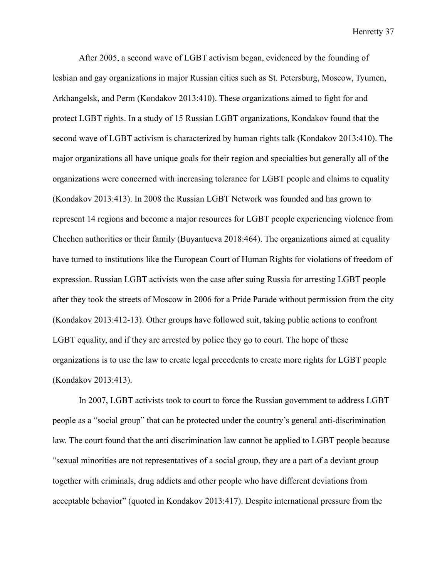After 2005, a second wave of LGBT activism began, evidenced by the founding of lesbian and gay organizations in major Russian cities such as St. Petersburg, Moscow, Tyumen, Arkhangelsk, and Perm (Kondakov 2013:410). These organizations aimed to fight for and protect LGBT rights. In a study of 15 Russian LGBT organizations, Kondakov found that the second wave of LGBT activism is characterized by human rights talk (Kondakov 2013:410). The major organizations all have unique goals for their region and specialties but generally all of the organizations were concerned with increasing tolerance for LGBT people and claims to equality (Kondakov 2013:413). In 2008 the Russian LGBT Network was founded and has grown to represent 14 regions and become a major resources for LGBT people experiencing violence from Chechen authorities or their family (Buyantueva 2018:464). The organizations aimed at equality have turned to institutions like the European Court of Human Rights for violations of freedom of expression. Russian LGBT activists won the case after suing Russia for arresting LGBT people after they took the streets of Moscow in 2006 for a Pride Parade without permission from the city (Kondakov 2013:412-13). Other groups have followed suit, taking public actions to confront LGBT equality, and if they are arrested by police they go to court. The hope of these organizations is to use the law to create legal precedents to create more rights for LGBT people (Kondakov 2013:413).

In 2007, LGBT activists took to court to force the Russian government to address LGBT people as a "social group" that can be protected under the country's general anti-discrimination law. The court found that the anti discrimination law cannot be applied to LGBT people because "sexual minorities are not representatives of a social group, they are a part of a deviant group together with criminals, drug addicts and other people who have different deviations from acceptable behavior" (quoted in Kondakov 2013:417). Despite international pressure from the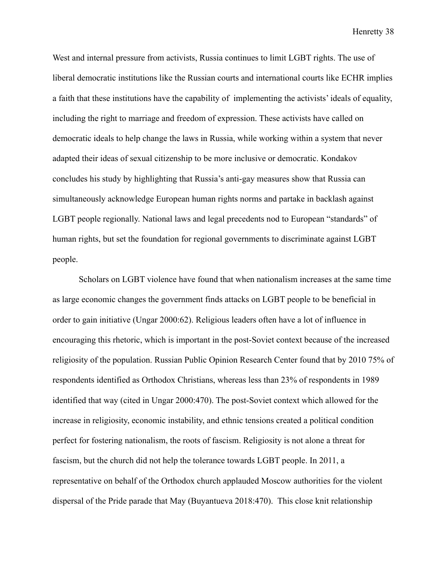West and internal pressure from activists, Russia continues to limit LGBT rights. The use of liberal democratic institutions like the Russian courts and international courts like ECHR implies a faith that these institutions have the capability of implementing the activists' ideals of equality, including the right to marriage and freedom of expression. These activists have called on democratic ideals to help change the laws in Russia, while working within a system that never adapted their ideas of sexual citizenship to be more inclusive or democratic. Kondakov concludes his study by highlighting that Russia's anti-gay measures show that Russia can simultaneously acknowledge European human rights norms and partake in backlash against LGBT people regionally. National laws and legal precedents nod to European "standards" of human rights, but set the foundation for regional governments to discriminate against LGBT people.

Scholars on LGBT violence have found that when nationalism increases at the same time as large economic changes the government finds attacks on LGBT people to be beneficial in order to gain initiative (Ungar 2000:62). Religious leaders often have a lot of influence in encouraging this rhetoric, which is important in the post-Soviet context because of the increased religiosity of the population. Russian Public Opinion Research Center found that by 2010 75% of respondents identified as Orthodox Christians, whereas less than 23% of respondents in 1989 identified that way (cited in Ungar 2000:470). The post-Soviet context which allowed for the increase in religiosity, economic instability, and ethnic tensions created a political condition perfect for fostering nationalism, the roots of fascism. Religiosity is not alone a threat for fascism, but the church did not help the tolerance towards LGBT people. In 2011, a representative on behalf of the Orthodox church applauded Moscow authorities for the violent dispersal of the Pride parade that May (Buyantueva 2018:470). This close knit relationship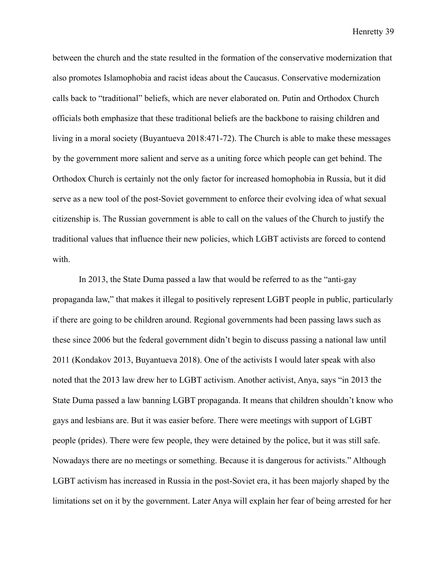between the church and the state resulted in the formation of the conservative modernization that also promotes Islamophobia and racist ideas about the Caucasus. Conservative modernization calls back to "traditional" beliefs, which are never elaborated on. Putin and Orthodox Church officials both emphasize that these traditional beliefs are the backbone to raising children and living in a moral society (Buyantueva 2018:471-72). The Church is able to make these messages by the government more salient and serve as a uniting force which people can get behind. The Orthodox Church is certainly not the only factor for increased homophobia in Russia, but it did serve as a new tool of the post-Soviet government to enforce their evolving idea of what sexual citizenship is. The Russian government is able to call on the values of the Church to justify the traditional values that influence their new policies, which LGBT activists are forced to contend with.

In 2013, the State Duma passed a law that would be referred to as the "anti-gay propaganda law," that makes it illegal to positively represent LGBT people in public, particularly if there are going to be children around. Regional governments had been passing laws such as these since 2006 but the federal government didn't begin to discuss passing a national law until 2011 (Kondakov 2013, Buyantueva 2018). One of the activists I would later speak with also noted that the 2013 law drew her to LGBT activism. Another activist, Anya, says "in 2013 the State Duma passed a law banning LGBT propaganda. It means that children shouldn't know who gays and lesbians are. But it was easier before. There were meetings with support of LGBT people (prides). There were few people, they were detained by the police, but it was still safe. Nowadays there are no meetings or something. Because it is dangerous for activists." Although LGBT activism has increased in Russia in the post-Soviet era, it has been majorly shaped by the limitations set on it by the government. Later Anya will explain her fear of being arrested for her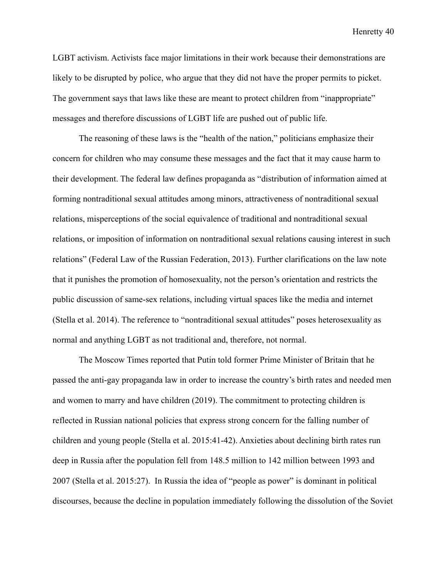LGBT activism. Activists face major limitations in their work because their demonstrations are likely to be disrupted by police, who argue that they did not have the proper permits to picket. The government says that laws like these are meant to protect children from "inappropriate" messages and therefore discussions of LGBT life are pushed out of public life.

The reasoning of these laws is the "health of the nation," politicians emphasize their concern for children who may consume these messages and the fact that it may cause harm to their development. The federal law defines propaganda as "distribution of information aimed at forming nontraditional sexual attitudes among minors, attractiveness of nontraditional sexual relations, misperceptions of the social equivalence of traditional and nontraditional sexual relations, or imposition of information on nontraditional sexual relations causing interest in such relations" (Federal Law of the Russian Federation, 2013). Further clarifications on the law note that it punishes the promotion of homosexuality, not the person's orientation and restricts the public discussion of same-sex relations, including virtual spaces like the media and internet (Stella et al. 2014). The reference to "nontraditional sexual attitudes" poses heterosexuality as normal and anything LGBT as not traditional and, therefore, not normal.

The Moscow Times reported that Putin told former Prime Minister of Britain that he passed the anti-gay propaganda law in order to increase the country's birth rates and needed men and women to marry and have children (2019). The commitment to protecting children is reflected in Russian national policies that express strong concern for the falling number of children and young people (Stella et al. 2015:41-42). Anxieties about declining birth rates run deep in Russia after the population fell from 148.5 million to 142 million between 1993 and 2007 (Stella et al. 2015:27). In Russia the idea of "people as power" is dominant in political discourses, because the decline in population immediately following the dissolution of the Soviet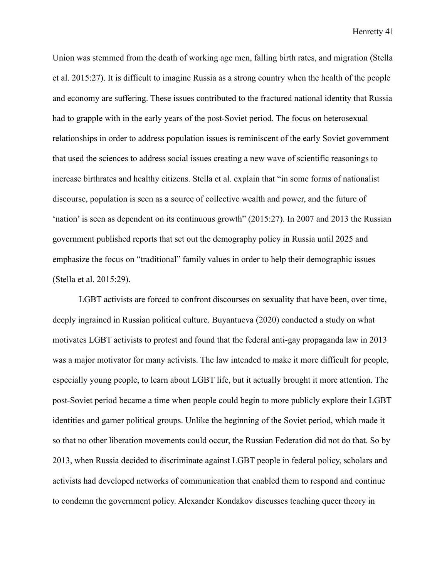Union was stemmed from the death of working age men, falling birth rates, and migration (Stella et al. 2015:27). It is difficult to imagine Russia as a strong country when the health of the people and economy are suffering. These issues contributed to the fractured national identity that Russia had to grapple with in the early years of the post-Soviet period. The focus on heterosexual relationships in order to address population issues is reminiscent of the early Soviet government that used the sciences to address social issues creating a new wave of scientific reasonings to increase birthrates and healthy citizens. Stella et al. explain that "in some forms of nationalist discourse, population is seen as a source of collective wealth and power, and the future of 'nation' is seen as dependent on its continuous growth" (2015:27). In 2007 and 2013 the Russian government published reports that set out the demography policy in Russia until 2025 and emphasize the focus on "traditional" family values in order to help their demographic issues (Stella et al. 2015:29).

LGBT activists are forced to confront discourses on sexuality that have been, over time, deeply ingrained in Russian political culture. Buyantueva (2020) conducted a study on what motivates LGBT activists to protest and found that the federal anti-gay propaganda law in 2013 was a major motivator for many activists. The law intended to make it more difficult for people, especially young people, to learn about LGBT life, but it actually brought it more attention. The post-Soviet period became a time when people could begin to more publicly explore their LGBT identities and garner political groups. Unlike the beginning of the Soviet period, which made it so that no other liberation movements could occur, the Russian Federation did not do that. So by 2013, when Russia decided to discriminate against LGBT people in federal policy, scholars and activists had developed networks of communication that enabled them to respond and continue to condemn the government policy. Alexander Kondakov discusses teaching queer theory in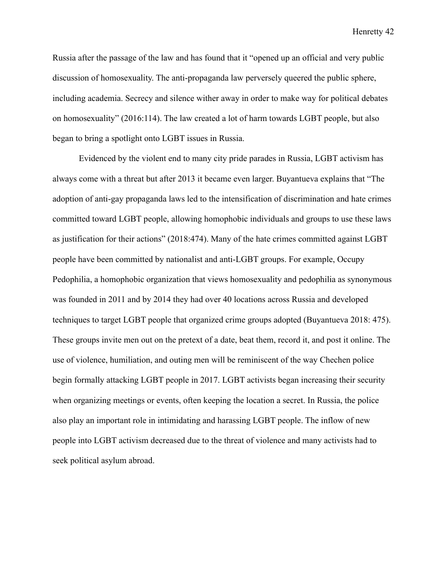Russia after the passage of the law and has found that it "opened up an official and very public discussion of homosexuality. The anti-propaganda law perversely queered the public sphere, including academia. Secrecy and silence wither away in order to make way for political debates on homosexuality" (2016:114). The law created a lot of harm towards LGBT people, but also began to bring a spotlight onto LGBT issues in Russia.

Evidenced by the violent end to many city pride parades in Russia, LGBT activism has always come with a threat but after 2013 it became even larger. Buyantueva explains that "The adoption of anti-gay propaganda laws led to the intensification of discrimination and hate crimes committed toward LGBT people, allowing homophobic individuals and groups to use these laws as justification for their actions" (2018:474). Many of the hate crimes committed against LGBT people have been committed by nationalist and anti-LGBT groups. For example, Occupy Pedophilia, a homophobic organization that views homosexuality and pedophilia as synonymous was founded in 2011 and by 2014 they had over 40 locations across Russia and developed techniques to target LGBT people that organized crime groups adopted (Buyantueva 2018: 475). These groups invite men out on the pretext of a date, beat them, record it, and post it online. The use of violence, humiliation, and outing men will be reminiscent of the way Chechen police begin formally attacking LGBT people in 2017. LGBT activists began increasing their security when organizing meetings or events, often keeping the location a secret. In Russia, the police also play an important role in intimidating and harassing LGBT people. The inflow of new people into LGBT activism decreased due to the threat of violence and many activists had to seek political asylum abroad.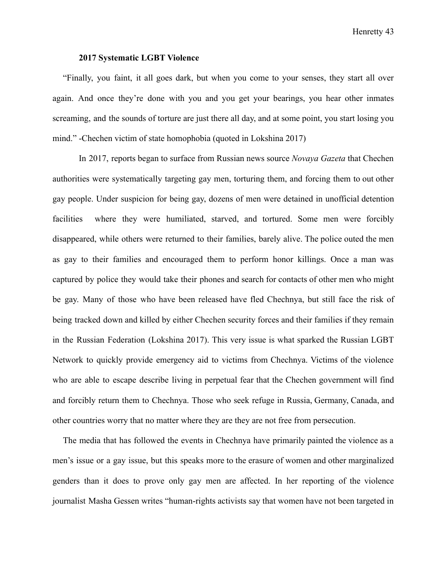#### **2017 Systematic LGBT Violence**

"Finally, you faint, it all goes dark, but when you come to your senses, they start all over again. And once they're done with you and you get your bearings, you hear other inmates screaming, and the sounds of torture are just there all day, and at some point, you start losing you mind." -Chechen victim of state homophobia (quoted in Lokshina 2017)

In 2017, reports began to surface from Russian news source *Novaya Gazeta* that Chechen authorities were systematically targeting gay men, torturing them, and forcing them to out other gay people. Under suspicion for being gay, dozens of men were detained in unofficial detention facilities where they were humiliated, starved, and tortured. Some men were forcibly disappeared, while others were returned to their families, barely alive. The police outed the men as gay to their families and encouraged them to perform honor killings. Once a man was captured by police they would take their phones and search for contacts of other men who might be gay. Many of those who have been released have fled Chechnya, but still face the risk of being tracked down and killed by either Chechen security forces and their families if they remain in the Russian Federation (Lokshina 2017). This very issue is what sparked the Russian LGBT Network to quickly provide emergency aid to victims from Chechnya. Victims of the violence who are able to escape describe living in perpetual fear that the Chechen government will find and forcibly return them to Chechnya. Those who seek refuge in Russia, Germany, Canada, and other countries worry that no matter where they are they are not free from persecution.

The media that has followed the events in Chechnya have primarily painted the violence as a men's issue or a gay issue, but this speaks more to the erasure of women and other marginalized genders than it does to prove only gay men are affected. In her reporting of the violence journalist Masha Gessen writes "human-rights activists say that women have not been targeted in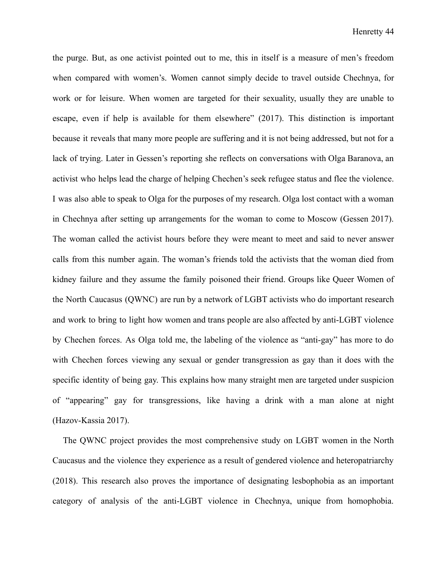the purge. But, as one activist pointed out to me, this in itself is a measure of men's freedom when compared with women's. Women cannot simply decide to travel outside Chechnya, for work or for leisure. When women are targeted for their sexuality, usually they are unable to escape, even if help is available for them elsewhere" (2017). This distinction is important because it reveals that many more people are suffering and it is not being addressed, but not for a lack of trying. Later in Gessen's reporting she reflects on conversations with Olga Baranova, an activist who helps lead the charge of helping Chechen's seek refugee status and flee the violence. I was also able to speak to Olga for the purposes of my research. Olga lost contact with a woman in Chechnya after setting up arrangements for the woman to come to Moscow (Gessen 2017). The woman called the activist hours before they were meant to meet and said to never answer calls from this number again. The woman's friends told the activists that the woman died from kidney failure and they assume the family poisoned their friend. Groups like Queer Women of the North Caucasus (QWNC) are run by a network of LGBT activists who do important research and work to bring to light how women and trans people are also affected by anti-LGBT violence by Chechen forces. As Olga told me, the labeling of the violence as "anti-gay" has more to do with Chechen forces viewing any sexual or gender transgression as gay than it does with the specific identity of being gay. This explains how many straight men are targeted under suspicion of "appearing" gay for transgressions, like having a drink with a man alone at night (Hazov-Kassia 2017).

The QWNC project provides the most comprehensive study on LGBT women in the North Caucasus and the violence they experience as a result of gendered violence and heteropatriarchy (2018). This research also proves the importance of designating lesbophobia as an important category of analysis of the anti-LGBT violence in Chechnya, unique from homophobia.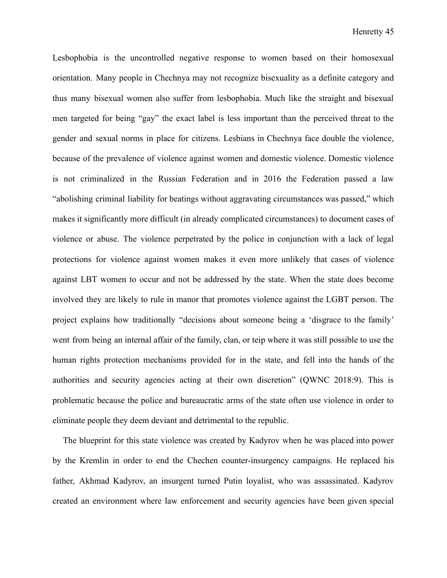Lesbophobia is the uncontrolled negative response to women based on their homosexual orientation. Many people in Chechnya may not recognize bisexuality as a definite category and thus many bisexual women also suffer from lesbophobia. Much like the straight and bisexual men targeted for being "gay" the exact label is less important than the perceived threat to the gender and sexual norms in place for citizens. Lesbians in Chechnya face double the violence, because of the prevalence of violence against women and domestic violence. Domestic violence is not criminalized in the Russian Federation and in 2016 the Federation passed a law "abolishing criminal liability for beatings without aggravating circumstances was passed," which makes it significantly more difficult (in already complicated circumstances) to document cases of violence or abuse. The violence perpetrated by the police in conjunction with a lack of legal protections for violence against women makes it even more unlikely that cases of violence against LBT women to occur and not be addressed by the state. When the state does become involved they are likely to rule in manor that promotes violence against the LGBT person. The project explains how traditionally "decisions about someone being a 'disgrace to the family' went from being an internal affair of the family, clan, or teip where it was still possible to use the human rights protection mechanisms provided for in the state, and fell into the hands of the authorities and security agencies acting at their own discretion" (QWNC 2018:9). This is problematic because the police and bureaucratic arms of the state often use violence in order to eliminate people they deem deviant and detrimental to the republic.

The blueprint for this state violence was created by Kadyrov when he was placed into power by the Kremlin in order to end the Chechen counter-insurgency campaigns. He replaced his father, Akhmad Kadyrov, an insurgent turned Putin loyalist, who was assassinated. Kadyrov created an environment where law enforcement and security agencies have been given special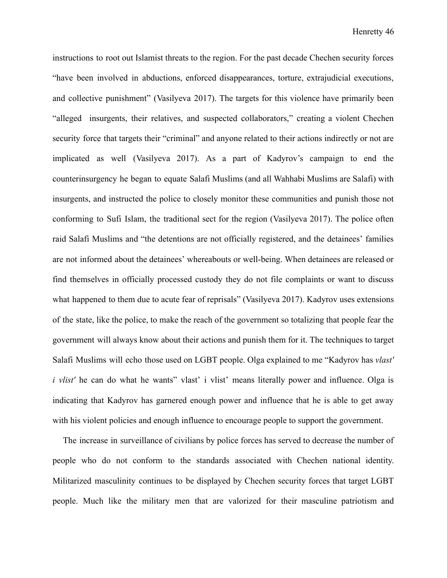instructions to root out Islamist threats to the region. For the past decade Chechen security forces "have been involved in abductions, enforced disappearances, torture, extrajudicial executions, and collective punishment" (Vasilyeva 2017). The targets for this violence have primarily been "alleged insurgents, their relatives, and suspected collaborators," creating a violent Chechen security force that targets their "criminal" and anyone related to their actions indirectly or not are implicated as well (Vasilyeva 2017). As a part of Kadyrov's campaign to end the counterinsurgency he began to equate Salafi Muslims (and all Wahhabi Muslims are Salafi) with insurgents, and instructed the police to closely monitor these communities and punish those not conforming to Sufi Islam, the traditional sect for the region (Vasilyeva 2017). The police often raid Salafi Muslims and "the detentions are not officially registered, and the detainees' families are not informed about the detainees' whereabouts or well-being. When detainees are released or find themselves in officially processed custody they do not file complaints or want to discuss what happened to them due to acute fear of reprisals" (Vasilyeva 2017). Kadyrov uses extensions of the state, like the police, to make the reach of the government so totalizing that people fear the government will always know about their actions and punish them for it. The techniques to target Salafi Muslims will echo those used on LGBT people. Olga explained to me "Kadyrov has *vlast' i vlist'* he can do what he wants" vlast' i vlist' means literally power and influence. Olga is indicating that Kadyrov has garnered enough power and influence that he is able to get away with his violent policies and enough influence to encourage people to support the government.

The increase in surveillance of civilians by police forces has served to decrease the number of people who do not conform to the standards associated with Chechen national identity. Militarized masculinity continues to be displayed by Chechen security forces that target LGBT people. Much like the military men that are valorized for their masculine patriotism and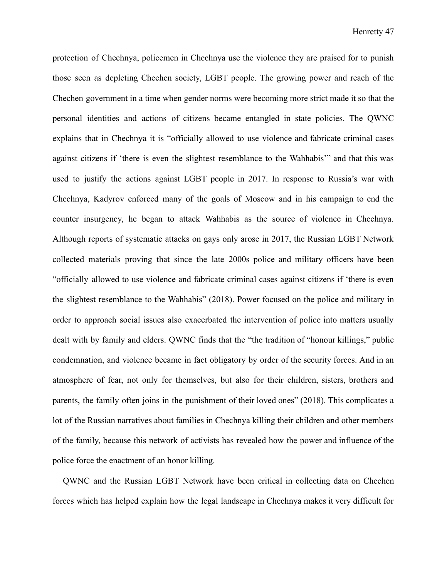protection of Chechnya, policemen in Chechnya use the violence they are praised for to punish those seen as depleting Chechen society, LGBT people. The growing power and reach of the Chechen government in a time when gender norms were becoming more strict made it so that the personal identities and actions of citizens became entangled in state policies. The QWNC explains that in Chechnya it is "officially allowed to use violence and fabricate criminal cases against citizens if 'there is even the slightest resemblance to the Wahhabis'" and that this was used to justify the actions against LGBT people in 2017. In response to Russia's war with Chechnya, Kadyrov enforced many of the goals of Moscow and in his campaign to end the counter insurgency, he began to attack Wahhabis as the source of violence in Chechnya. Although reports of systematic attacks on gays only arose in 2017, the Russian LGBT Network collected materials proving that since the late 2000s police and military officers have been "officially allowed to use violence and fabricate criminal cases against citizens if 'there is even the slightest resemblance to the Wahhabis" (2018). Power focused on the police and military in order to approach social issues also exacerbated the intervention of police into matters usually dealt with by family and elders. QWNC finds that the "the tradition of "honour killings," public condemnation, and violence became in fact obligatory by order of the security forces. And in an atmosphere of fear, not only for themselves, but also for their children, sisters, brothers and parents, the family often joins in the punishment of their loved ones" (2018). This complicates a lot of the Russian narratives about families in Chechnya killing their children and other members of the family, because this network of activists has revealed how the power and influence of the police force the enactment of an honor killing.

QWNC and the Russian LGBT Network have been critical in collecting data on Chechen forces which has helped explain how the legal landscape in Chechnya makes it very difficult for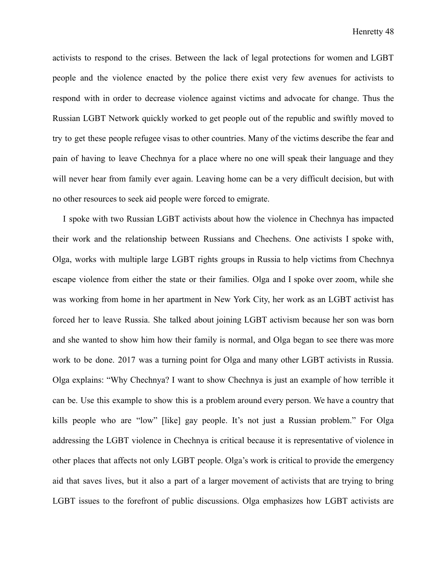activists to respond to the crises. Between the lack of legal protections for women and LGBT people and the violence enacted by the police there exist very few avenues for activists to respond with in order to decrease violence against victims and advocate for change. Thus the Russian LGBT Network quickly worked to get people out of the republic and swiftly moved to try to get these people refugee visas to other countries. Many of the victims describe the fear and pain of having to leave Chechnya for a place where no one will speak their language and they will never hear from family ever again. Leaving home can be a very difficult decision, but with no other resources to seek aid people were forced to emigrate.

I spoke with two Russian LGBT activists about how the violence in Chechnya has impacted their work and the relationship between Russians and Chechens. One activists I spoke with, Olga, works with multiple large LGBT rights groups in Russia to help victims from Chechnya escape violence from either the state or their families. Olga and I spoke over zoom, while she was working from home in her apartment in New York City, her work as an LGBT activist has forced her to leave Russia. She talked about joining LGBT activism because her son was born and she wanted to show him how their family is normal, and Olga began to see there was more work to be done. 2017 was a turning point for Olga and many other LGBT activists in Russia. Olga explains: "Why Chechnya? I want to show Chechnya is just an example of how terrible it can be. Use this example to show this is a problem around every person. We have a country that kills people who are "low" [like] gay people. It's not just a Russian problem." For Olga addressing the LGBT violence in Chechnya is critical because it is representative of violence in other places that affects not only LGBT people. Olga's work is critical to provide the emergency aid that saves lives, but it also a part of a larger movement of activists that are trying to bring LGBT issues to the forefront of public discussions. Olga emphasizes how LGBT activists are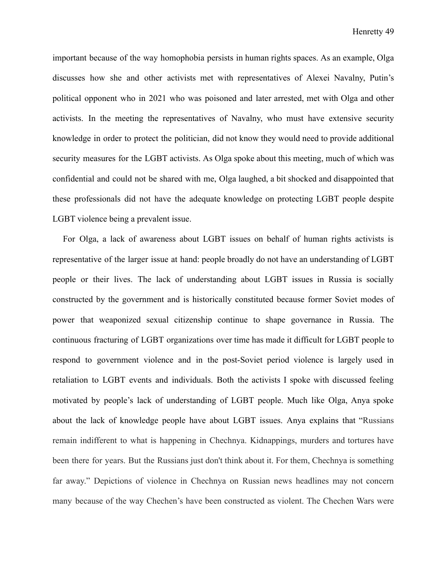important because of the way homophobia persists in human rights spaces. As an example, Olga discusses how she and other activists met with representatives of Alexei Navalny, Putin's political opponent who in 2021 who was poisoned and later arrested, met with Olga and other activists. In the meeting the representatives of Navalny, who must have extensive security knowledge in order to protect the politician, did not know they would need to provide additional security measures for the LGBT activists. As Olga spoke about this meeting, much of which was confidential and could not be shared with me, Olga laughed, a bit shocked and disappointed that these professionals did not have the adequate knowledge on protecting LGBT people despite LGBT violence being a prevalent issue.

For Olga, a lack of awareness about LGBT issues on behalf of human rights activists is representative of the larger issue at hand: people broadly do not have an understanding of LGBT people or their lives. The lack of understanding about LGBT issues in Russia is socially constructed by the government and is historically constituted because former Soviet modes of power that weaponized sexual citizenship continue to shape governance in Russia. The continuous fracturing of LGBT organizations over time has made it difficult for LGBT people to respond to government violence and in the post-Soviet period violence is largely used in retaliation to LGBT events and individuals. Both the activists I spoke with discussed feeling motivated by people's lack of understanding of LGBT people. Much like Olga, Anya spoke about the lack of knowledge people have about LGBT issues. Anya explains that "Russians remain indifferent to what is happening in Chechnya. Kidnappings, murders and tortures have been there for years. But the Russians just don't think about it. For them, Chechnya is something far away." Depictions of violence in Chechnya on Russian news headlines may not concern many because of the way Chechen's have been constructed as violent. The Chechen Wars were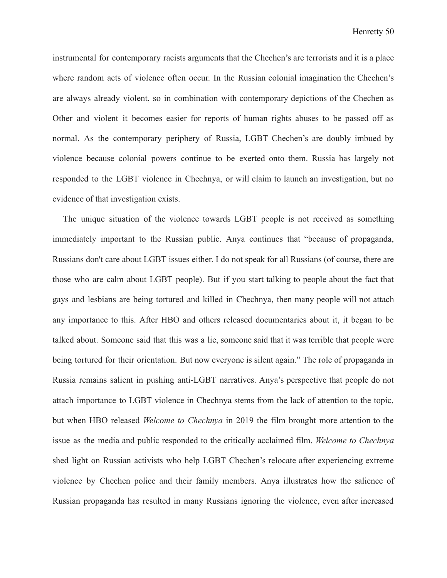instrumental for contemporary racists arguments that the Chechen's are terrorists and it is a place where random acts of violence often occur. In the Russian colonial imagination the Chechen's are always already violent, so in combination with contemporary depictions of the Chechen as Other and violent it becomes easier for reports of human rights abuses to be passed off as normal. As the contemporary periphery of Russia, LGBT Chechen's are doubly imbued by violence because colonial powers continue to be exerted onto them. Russia has largely not responded to the LGBT violence in Chechnya, or will claim to launch an investigation, but no evidence of that investigation exists.

The unique situation of the violence towards LGBT people is not received as something immediately important to the Russian public. Anya continues that "because of propaganda, Russians don't care about LGBT issues either. I do not speak for all Russians (of course, there are those who are calm about LGBT people). But if you start talking to people about the fact that gays and lesbians are being tortured and killed in Chechnya, then many people will not attach any importance to this. After HBO and others released documentaries about it, it began to be talked about. Someone said that this was a lie, someone said that it was terrible that people were being tortured for their orientation. But now everyone is silent again." The role of propaganda in Russia remains salient in pushing anti-LGBT narratives. Anya's perspective that people do not attach importance to LGBT violence in Chechnya stems from the lack of attention to the topic, but when HBO released *Welcome to Chechnya* in 2019 the film brought more attention to the issue as the media and public responded to the critically acclaimed film. *Welcome to Chechnya* shed light on Russian activists who help LGBT Chechen's relocate after experiencing extreme violence by Chechen police and their family members. Anya illustrates how the salience of Russian propaganda has resulted in many Russians ignoring the violence, even after increased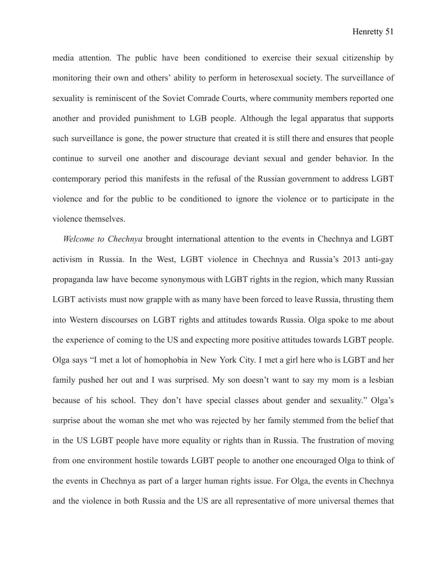media attention. The public have been conditioned to exercise their sexual citizenship by monitoring their own and others' ability to perform in heterosexual society. The surveillance of sexuality is reminiscent of the Soviet Comrade Courts, where community members reported one another and provided punishment to LGB people. Although the legal apparatus that supports such surveillance is gone, the power structure that created it is still there and ensures that people continue to surveil one another and discourage deviant sexual and gender behavior. In the contemporary period this manifests in the refusal of the Russian government to address LGBT violence and for the public to be conditioned to ignore the violence or to participate in the violence themselves.

*Welcome to Chechnya* brought international attention to the events in Chechnya and LGBT activism in Russia. In the West, LGBT violence in Chechnya and Russia's 2013 anti-gay propaganda law have become synonymous with LGBT rights in the region, which many Russian LGBT activists must now grapple with as many have been forced to leave Russia, thrusting them into Western discourses on LGBT rights and attitudes towards Russia. Olga spoke to me about the experience of coming to the US and expecting more positive attitudes towards LGBT people. Olga says "I met a lot of homophobia in New York City. I met a girl here who is LGBT and her family pushed her out and I was surprised. My son doesn't want to say my mom is a lesbian because of his school. They don't have special classes about gender and sexuality." Olga's surprise about the woman she met who was rejected by her family stemmed from the belief that in the US LGBT people have more equality or rights than in Russia. The frustration of moving from one environment hostile towards LGBT people to another one encouraged Olga to think of the events in Chechnya as part of a larger human rights issue. For Olga, the events in Chechnya and the violence in both Russia and the US are all representative of more universal themes that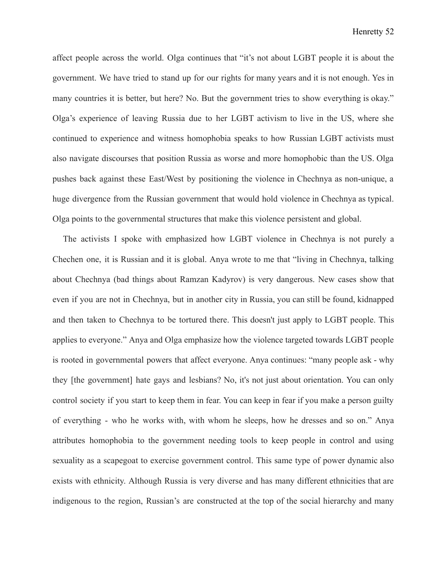affect people across the world. Olga continues that "it's not about LGBT people it is about the government. We have tried to stand up for our rights for many years and it is not enough. Yes in many countries it is better, but here? No. But the government tries to show everything is okay." Olga's experience of leaving Russia due to her LGBT activism to live in the US, where she continued to experience and witness homophobia speaks to how Russian LGBT activists must also navigate discourses that position Russia as worse and more homophobic than the US. Olga pushes back against these East/West by positioning the violence in Chechnya as non-unique, a huge divergence from the Russian government that would hold violence in Chechnya as typical. Olga points to the governmental structures that make this violence persistent and global.

The activists I spoke with emphasized how LGBT violence in Chechnya is not purely a Chechen one, it is Russian and it is global. Anya wrote to me that "living in Chechnya, talking about Chechnya (bad things about Ramzan Kadyrov) is very dangerous. New cases show that even if you are not in Chechnya, but in another city in Russia, you can still be found, kidnapped and then taken to Chechnya to be tortured there. This doesn't just apply to LGBT people. This applies to everyone." Anya and Olga emphasize how the violence targeted towards LGBT people is rooted in governmental powers that affect everyone. Anya continues: "many people ask - why they [the government] hate gays and lesbians? No, it's not just about orientation. You can only control society if you start to keep them in fear. You can keep in fear if you make a person guilty of everything - who he works with, with whom he sleeps, how he dresses and so on." Anya attributes homophobia to the government needing tools to keep people in control and using sexuality as a scapegoat to exercise government control. This same type of power dynamic also exists with ethnicity. Although Russia is very diverse and has many different ethnicities that are indigenous to the region, Russian's are constructed at the top of the social hierarchy and many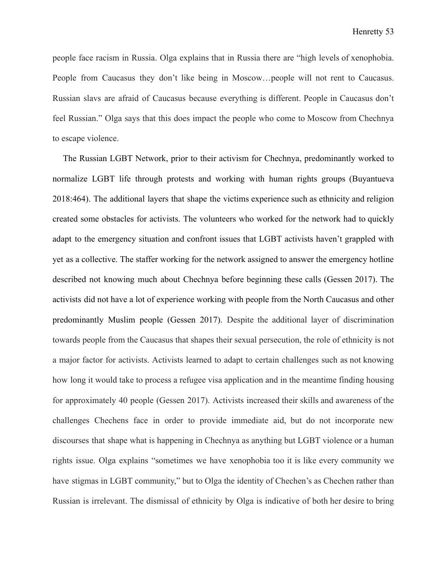people face racism in Russia. Olga explains that in Russia there are "high levels of xenophobia. People from Caucasus they don't like being in Moscow…people will not rent to Caucasus. Russian slavs are afraid of Caucasus because everything is different. People in Caucasus don't feel Russian." Olga says that this does impact the people who come to Moscow from Chechnya to escape violence.

The Russian LGBT Network, prior to their activism for Chechnya, predominantly worked to normalize LGBT life through protests and working with human rights groups (Buyantueva 2018:464). The additional layers that shape the victims experience such as ethnicity and religion created some obstacles for activists. The volunteers who worked for the network had to quickly adapt to the emergency situation and confront issues that LGBT activists haven't grappled with yet as a collective. The staffer working for the network assigned to answer the emergency hotline described not knowing much about Chechnya before beginning these calls (Gessen 2017). The activists did not have a lot of experience working with people from the North Caucasus and other predominantly Muslim people (Gessen 2017). Despite the additional layer of discrimination towards people from the Caucasus that shapes their sexual persecution, the role of ethnicity is not a major factor for activists. Activists learned to adapt to certain challenges such as not knowing how long it would take to process a refugee visa application and in the meantime finding housing for approximately 40 people (Gessen 2017). Activists increased their skills and awareness of the challenges Chechens face in order to provide immediate aid, but do not incorporate new discourses that shape what is happening in Chechnya as anything but LGBT violence or a human rights issue. Olga explains "sometimes we have xenophobia too it is like every community we have stigmas in LGBT community," but to Olga the identity of Chechen's as Chechen rather than Russian is irrelevant. The dismissal of ethnicity by Olga is indicative of both her desire to bring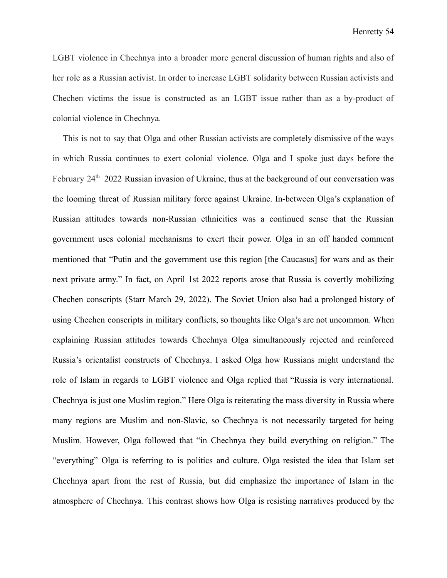LGBT violence in Chechnya into a broader more general discussion of human rights and also of her role as a Russian activist. In order to increase LGBT solidarity between Russian activists and Chechen victims the issue is constructed as an LGBT issue rather than as a by-product of colonial violence in Chechnya.

This is not to say that Olga and other Russian activists are completely dismissive of the ways in which Russia continues to exert colonial violence. Olga and I spoke just days before the February 24<sup>th</sup> 2022 Russian invasion of Ukraine, thus at the background of our conversation was the looming threat of Russian military force against Ukraine. In-between Olga's explanation of Russian attitudes towards non-Russian ethnicities was a continued sense that the Russian government uses colonial mechanisms to exert their power. Olga in an off handed comment mentioned that "Putin and the government use this region [the Caucasus] for wars and as their next private army." In fact, on April 1st 2022 reports arose that Russia is covertly mobilizing Chechen conscripts (Starr March 29, 2022). The Soviet Union also had a prolonged history of using Chechen conscripts in military conflicts, so thoughts like Olga's are not uncommon. When explaining Russian attitudes towards Chechnya Olga simultaneously rejected and reinforced Russia's orientalist constructs of Chechnya. I asked Olga how Russians might understand the role of Islam in regards to LGBT violence and Olga replied that "Russia is very international. Chechnya is just one Muslim region." Here Olga is reiterating the mass diversity in Russia where many regions are Muslim and non-Slavic, so Chechnya is not necessarily targeted for being Muslim. However, Olga followed that "in Chechnya they build everything on religion." The "everything" Olga is referring to is politics and culture. Olga resisted the idea that Islam set Chechnya apart from the rest of Russia, but did emphasize the importance of Islam in the atmosphere of Chechnya. This contrast shows how Olga is resisting narratives produced by the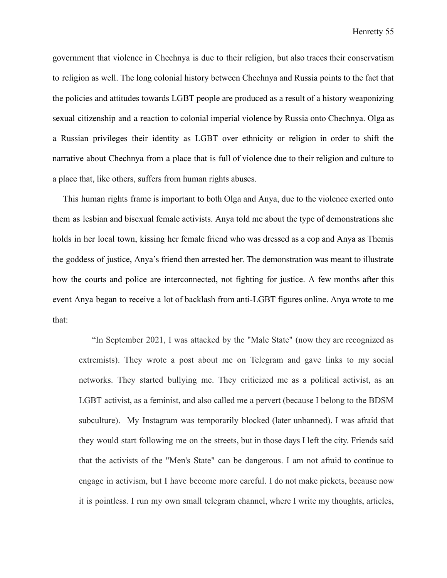government that violence in Chechnya is due to their religion, but also traces their conservatism to religion as well. The long colonial history between Chechnya and Russia points to the fact that the policies and attitudes towards LGBT people are produced as a result of a history weaponizing sexual citizenship and a reaction to colonial imperial violence by Russia onto Chechnya. Olga as a Russian privileges their identity as LGBT over ethnicity or religion in order to shift the narrative about Chechnya from a place that is full of violence due to their religion and culture to a place that, like others, suffers from human rights abuses.

This human rights frame is important to both Olga and Anya, due to the violence exerted onto them as lesbian and bisexual female activists. Anya told me about the type of demonstrations she holds in her local town, kissing her female friend who was dressed as a cop and Anya as Themis the goddess of justice, Anya's friend then arrested her. The demonstration was meant to illustrate how the courts and police are interconnected, not fighting for justice. A few months after this event Anya began to receive a lot of backlash from anti-LGBT figures online. Anya wrote to me that:

"In September 2021, I was attacked by the "Male State" (now they are recognized as extremists). They wrote a post about me on Telegram and gave links to my social networks. They started bullying me. They criticized me as a political activist, as an LGBT activist, as a feminist, and also called me a pervert (because I belong to the BDSM subculture). My Instagram was temporarily blocked (later unbanned). I was afraid that they would start following me on the streets, but in those days I left the city. Friends said that the activists of the "Men's State" can be dangerous. I am not afraid to continue to engage in activism, but I have become more careful. I do not make pickets, because now it is pointless. I run my own small telegram channel, where I write my thoughts, articles,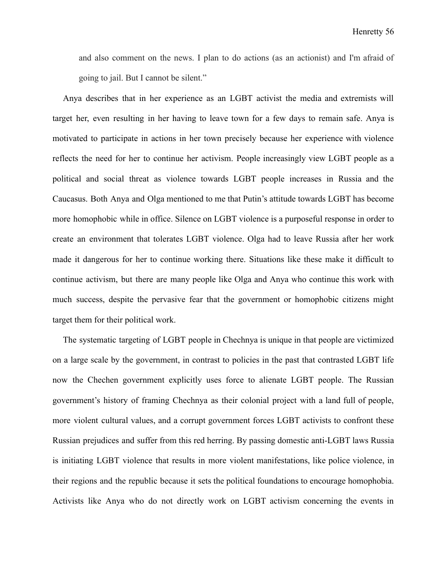and also comment on the news. I plan to do actions (as an actionist) and I'm afraid of going to jail. But I cannot be silent."

Anya describes that in her experience as an LGBT activist the media and extremists will target her, even resulting in her having to leave town for a few days to remain safe. Anya is motivated to participate in actions in her town precisely because her experience with violence reflects the need for her to continue her activism. People increasingly view LGBT people as a political and social threat as violence towards LGBT people increases in Russia and the Caucasus. Both Anya and Olga mentioned to me that Putin's attitude towards LGBT has become more homophobic while in office. Silence on LGBT violence is a purposeful response in order to create an environment that tolerates LGBT violence. Olga had to leave Russia after her work made it dangerous for her to continue working there. Situations like these make it difficult to continue activism, but there are many people like Olga and Anya who continue this work with much success, despite the pervasive fear that the government or homophobic citizens might target them for their political work.

The systematic targeting of LGBT people in Chechnya is unique in that people are victimized on a large scale by the government, in contrast to policies in the past that contrasted LGBT life now the Chechen government explicitly uses force to alienate LGBT people. The Russian government's history of framing Chechnya as their colonial project with a land full of people, more violent cultural values, and a corrupt government forces LGBT activists to confront these Russian prejudices and suffer from this red herring. By passing domestic anti-LGBT laws Russia is initiating LGBT violence that results in more violent manifestations, like police violence, in their regions and the republic because it sets the political foundations to encourage homophobia. Activists like Anya who do not directly work on LGBT activism concerning the events in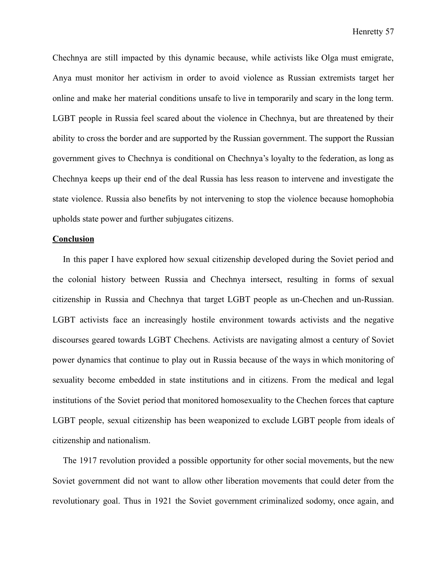Chechnya are still impacted by this dynamic because, while activists like Olga must emigrate, Anya must monitor her activism in order to avoid violence as Russian extremists target her online and make her material conditions unsafe to live in temporarily and scary in the long term. LGBT people in Russia feel scared about the violence in Chechnya, but are threatened by their ability to cross the border and are supported by the Russian government. The support the Russian government gives to Chechnya is conditional on Chechnya's loyalty to the federation, as long as Chechnya keeps up their end of the deal Russia has less reason to intervene and investigate the state violence. Russia also benefits by not intervening to stop the violence because homophobia upholds state power and further subjugates citizens.

#### **Conclusion**

In this paper I have explored how sexual citizenship developed during the Soviet period and the colonial history between Russia and Chechnya intersect, resulting in forms of sexual citizenship in Russia and Chechnya that target LGBT people as un-Chechen and un-Russian. LGBT activists face an increasingly hostile environment towards activists and the negative discourses geared towards LGBT Chechens. Activists are navigating almost a century of Soviet power dynamics that continue to play out in Russia because of the ways in which monitoring of sexuality become embedded in state institutions and in citizens. From the medical and legal institutions of the Soviet period that monitored homosexuality to the Chechen forces that capture LGBT people, sexual citizenship has been weaponized to exclude LGBT people from ideals of citizenship and nationalism.

The 1917 revolution provided a possible opportunity for other social movements, but the new Soviet government did not want to allow other liberation movements that could deter from the revolutionary goal. Thus in 1921 the Soviet government criminalized sodomy, once again, and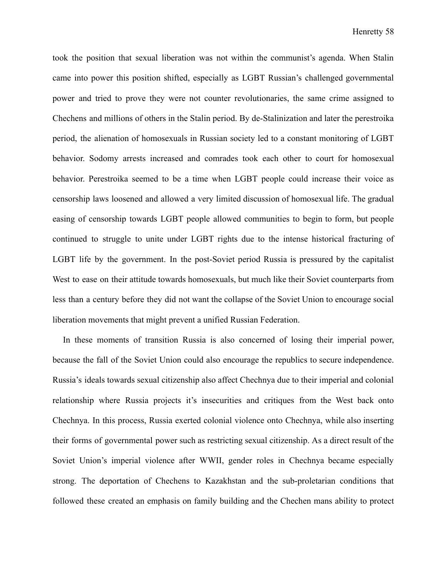took the position that sexual liberation was not within the communist's agenda. When Stalin came into power this position shifted, especially as LGBT Russian's challenged governmental power and tried to prove they were not counter revolutionaries, the same crime assigned to Chechens and millions of others in the Stalin period. By de-Stalinization and later the perestroika period, the alienation of homosexuals in Russian society led to a constant monitoring of LGBT behavior. Sodomy arrests increased and comrades took each other to court for homosexual behavior. Perestroika seemed to be a time when LGBT people could increase their voice as censorship laws loosened and allowed a very limited discussion of homosexual life. The gradual easing of censorship towards LGBT people allowed communities to begin to form, but people continued to struggle to unite under LGBT rights due to the intense historical fracturing of LGBT life by the government. In the post-Soviet period Russia is pressured by the capitalist West to ease on their attitude towards homosexuals, but much like their Soviet counterparts from less than a century before they did not want the collapse of the Soviet Union to encourage social liberation movements that might prevent a unified Russian Federation.

In these moments of transition Russia is also concerned of losing their imperial power, because the fall of the Soviet Union could also encourage the republics to secure independence. Russia's ideals towards sexual citizenship also affect Chechnya due to their imperial and colonial relationship where Russia projects it's insecurities and critiques from the West back onto Chechnya. In this process, Russia exerted colonial violence onto Chechnya, while also inserting their forms of governmental power such as restricting sexual citizenship. As a direct result of the Soviet Union's imperial violence after WWII, gender roles in Chechnya became especially strong. The deportation of Chechens to Kazakhstan and the sub-proletarian conditions that followed these created an emphasis on family building and the Chechen mans ability to protect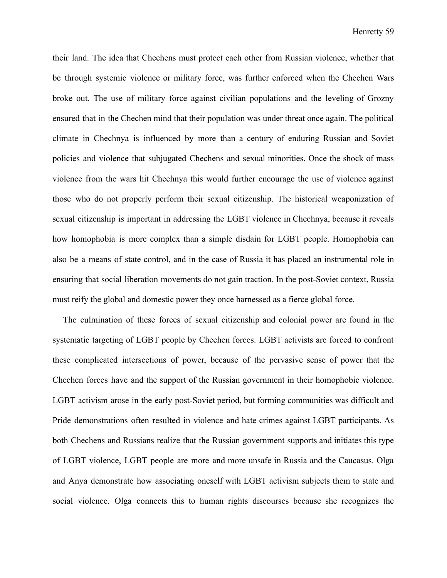their land. The idea that Chechens must protect each other from Russian violence, whether that be through systemic violence or military force, was further enforced when the Chechen Wars broke out. The use of military force against civilian populations and the leveling of Grozny ensured that in the Chechen mind that their population was under threat once again. The political climate in Chechnya is influenced by more than a century of enduring Russian and Soviet policies and violence that subjugated Chechens and sexual minorities. Once the shock of mass violence from the wars hit Chechnya this would further encourage the use of violence against those who do not properly perform their sexual citizenship. The historical weaponization of sexual citizenship is important in addressing the LGBT violence in Chechnya, because it reveals how homophobia is more complex than a simple disdain for LGBT people. Homophobia can also be a means of state control, and in the case of Russia it has placed an instrumental role in ensuring that social liberation movements do not gain traction. In the post-Soviet context, Russia must reify the global and domestic power they once harnessed as a fierce global force.

The culmination of these forces of sexual citizenship and colonial power are found in the systematic targeting of LGBT people by Chechen forces. LGBT activists are forced to confront these complicated intersections of power, because of the pervasive sense of power that the Chechen forces have and the support of the Russian government in their homophobic violence. LGBT activism arose in the early post-Soviet period, but forming communities was difficult and Pride demonstrations often resulted in violence and hate crimes against LGBT participants. As both Chechens and Russians realize that the Russian government supports and initiates this type of LGBT violence, LGBT people are more and more unsafe in Russia and the Caucasus. Olga and Anya demonstrate how associating oneself with LGBT activism subjects them to state and social violence. Olga connects this to human rights discourses because she recognizes the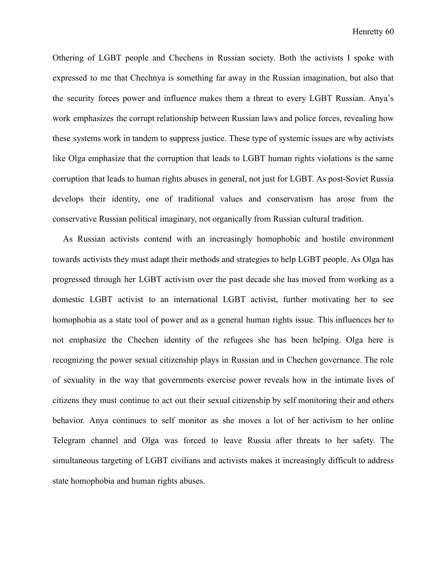Othering of LGBT people and Chechens in Russian society. Both the activists I spoke with expressed to me that Chechnya is something far away in the Russian imagination, but also that the security forces power and influence makes them a threat to every LGBT Russian. Anya's work emphasizes the corrupt relationship between Russian laws and police forces, revealing how these systems work in tandem to suppress justice. These type of systemic issues are why activists like Olga emphasize that the corruption that leads to LGBT human rights violations is the same corruption that leads to human rights abuses in general, not just for LGBT. As post-Soviet Russia develops their identity, one of traditional values and conservatism has arose from the conservative Russian political imaginary, not organically from Russian cultural tradition.

As Russian activists contend with an increasingly homophobic and hostile environment towards activists they must adapt their methods and strategies to help LGBT people. As Olga has progressed through her LGBT activism over the past decade she has moved from working as a domestic LGBT activist to an international LGBT activist, further motivating her to see homophobia as a state tool of power and as a general human rights issue. This influences her to not emphasize the Chechen identity of the refugees she has been helping. Olga here is recognizing the power sexual citizenship plays in Russian and in Chechen governance. The role of sexuality in the way that governments exercise power reveals how in the intimate lives of citizens they must continue to act out their sexual citizenship by self monitoring their and others behavior. Anya continues to self monitor as she moves a lot of her activism to her online Telegram channel and Olga was forced to leave Russia after threats to her safety. The simultaneous targeting of LGBT civilians and activists makes it increasingly difficult to address state homophobia and human rights abuses.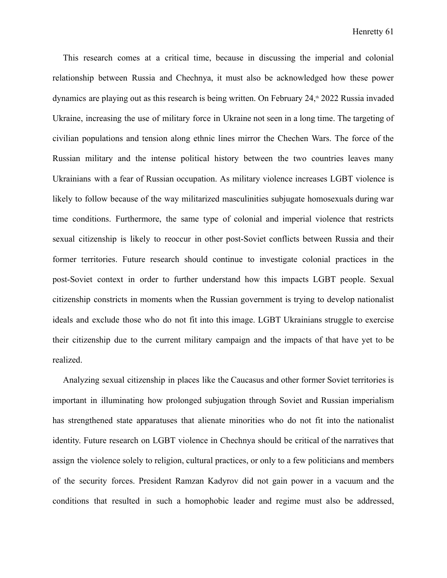This research comes at a critical time, because in discussing the imperial and colonial relationship between Russia and Chechnya, it must also be acknowledged how these power dynamics are playing out as this research is being written. On February  $24<sup>th</sup> 2022$  Russia invaded Ukraine, increasing the use of military force in Ukraine not seen in a long time. The targeting of civilian populations and tension along ethnic lines mirror the Chechen Wars. The force of the Russian military and the intense political history between the two countries leaves many Ukrainians with a fear of Russian occupation. As military violence increases LGBT violence is likely to follow because of the way militarized masculinities subjugate homosexuals during war time conditions. Furthermore, the same type of colonial and imperial violence that restricts sexual citizenship is likely to reoccur in other post-Soviet conflicts between Russia and their former territories. Future research should continue to investigate colonial practices in the post-Soviet context in order to further understand how this impacts LGBT people. Sexual citizenship constricts in moments when the Russian government is trying to develop nationalist ideals and exclude those who do not fit into this image. LGBT Ukrainians struggle to exercise their citizenship due to the current military campaign and the impacts of that have yet to be realized.

Analyzing sexual citizenship in places like the Caucasus and other former Soviet territories is important in illuminating how prolonged subjugation through Soviet and Russian imperialism has strengthened state apparatuses that alienate minorities who do not fit into the nationalist identity. Future research on LGBT violence in Chechnya should be critical of the narratives that assign the violence solely to religion, cultural practices, or only to a few politicians and members of the security forces. President Ramzan Kadyrov did not gain power in a vacuum and the conditions that resulted in such a homophobic leader and regime must also be addressed,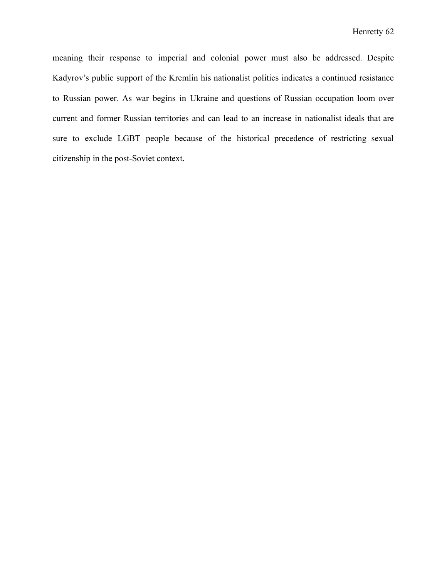meaning their response to imperial and colonial power must also be addressed. Despite Kadyrov's public support of the Kremlin his nationalist politics indicates a continued resistance to Russian power. As war begins in Ukraine and questions of Russian occupation loom over current and former Russian territories and can lead to an increase in nationalist ideals that are sure to exclude LGBT people because of the historical precedence of restricting sexual citizenship in the post-Soviet context.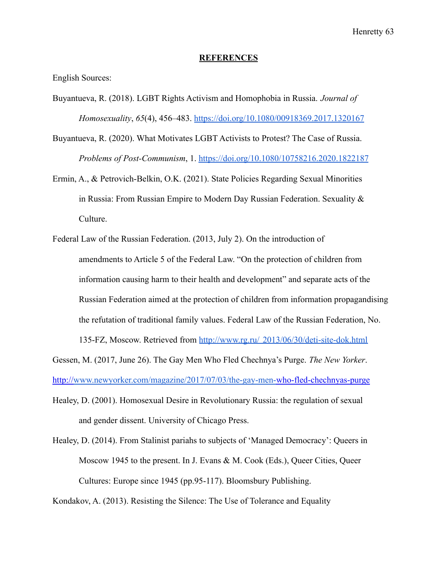#### **REFERENCES**

English Sources:

- Buyantueva, R. (2018). LGBT Rights Activism and Homophobia in Russia. *Journal of Homosexuality*, *65*(4), 456–483. <https://doi.org/10.1080/00918369.2017.1320167>
- Buyantueva, R. (2020). What Motivates LGBT Activists to Protest? The Case of Russia. *Problems of Post-Communism*, 1. <https://doi.org/10.1080/10758216.2020.1822187>
- Ermin, A., & Petrovich-Belkin, O.K. (2021). State Policies Regarding Sexual Minorities in Russia: From Russian Empire to Modern Day Russian Federation. Sexuality  $\&$ Culture.
- Federal Law of the Russian Federation. (2013, July 2). On the introduction of amendments to Article 5 of the Federal Law. "On the protection of children from information causing harm to their health and development" and separate acts of the Russian Federation aimed at the protection of children from information propagandising the refutation of traditional family values. Federal Law of the Russian Federation, No. 135-FZ, Moscow. Retrieved from http://www.rg.ru/ [2013/06/30/deti-site-dok.html](http://www.rg.ru/2013/06/30/deti-site-dok.html)

Gessen, M. (2017, June 26). The Gay Men Who Fled Chechnya's Purge. *The New Yorker*.

http://[www.newyorker.com/magazine/2017/07/03/the-gay-men-](http://www.newyorker.com/magazine/2017/07/03/the-gay-men-)who-fled-chechnyas-purge

- Healey, D. (2001). Homosexual Desire in Revolutionary Russia: the regulation of sexual and gender dissent. University of Chicago Press.
- Healey, D. (2014). From Stalinist pariahs to subjects of 'Managed Democracy': Queers in Moscow 1945 to the present. In J. Evans & M. Cook (Eds.), Queer Cities, Queer Cultures: Europe since 1945 (pp.95-117). Bloomsbury Publishing.

Kondakov, A. (2013). Resisting the Silence: The Use of Tolerance and Equality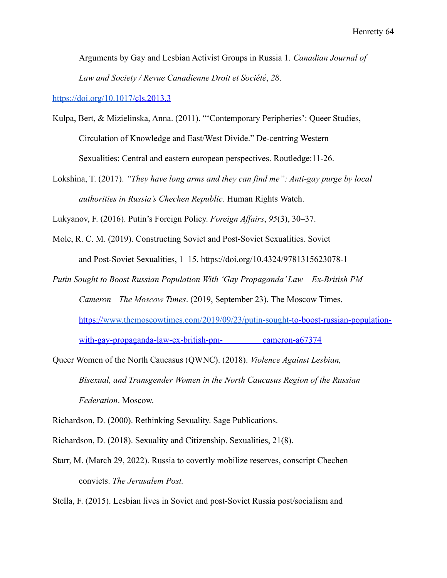Arguments by Gay and Lesbian Activist Groups in Russia 1. *Canadian Journal of Law and Society / Revue Canadienne Droit et Société*, *28*.

<https://doi.org/10.1017/>cls.2013.3

- Kulpa, Bert, & Mizielinska, Anna. (2011). "'Contemporary Peripheries': Queer Studies, Circulation of Knowledge and East/West Divide." De-centring Western Sexualities: Central and eastern european perspectives. Routledge:11-26.
- Lokshina, T. (2017). *"They have long arms and they can find me": Anti-gay purge by local authorities in Russia's Chechen Republic*. Human Rights Watch.

Lukyanov, F. (2016). Putin's Foreign Policy. *Foreign Affairs*, *95*(3), 30–37.

- Mole, R. C. M. (2019). Constructing Soviet and Post-Soviet Sexualities. Soviet and Post-Soviet Sexualities, 1–15. https://doi.org/10.4324/9781315623078-1
- *Putin Sought to Boost Russian Population With 'Gay Propaganda' Law Ex-British PM Cameron—The Moscow Times*. (2019, September 23). The Moscow Times. https:/[/www.themoscowtimes.com/2019/09/23/putin-sought-t](http://www.themoscowtimes.com/2019/09/23/putin-sought-)o-boost-russian-populationwith-gay-propaganda-law-ex-british-pm- cameron-a67374
- Queer Women of the North Caucasus (QWNC). (2018). *Violence Against Lesbian, Bisexual, and Transgender Women in the North Caucasus Region of the Russian Federation*. Moscow.

Richardson, D. (2000). Rethinking Sexuality. Sage Publications.

- Richardson, D. (2018). Sexuality and Citizenship. Sexualities, 21(8).
- Starr, M. (March 29, 2022). Russia to covertly mobilize reserves, conscript Chechen convicts. *The Jerusalem Post.*

Stella, F. (2015). Lesbian lives in Soviet and post-Soviet Russia post/socialism and